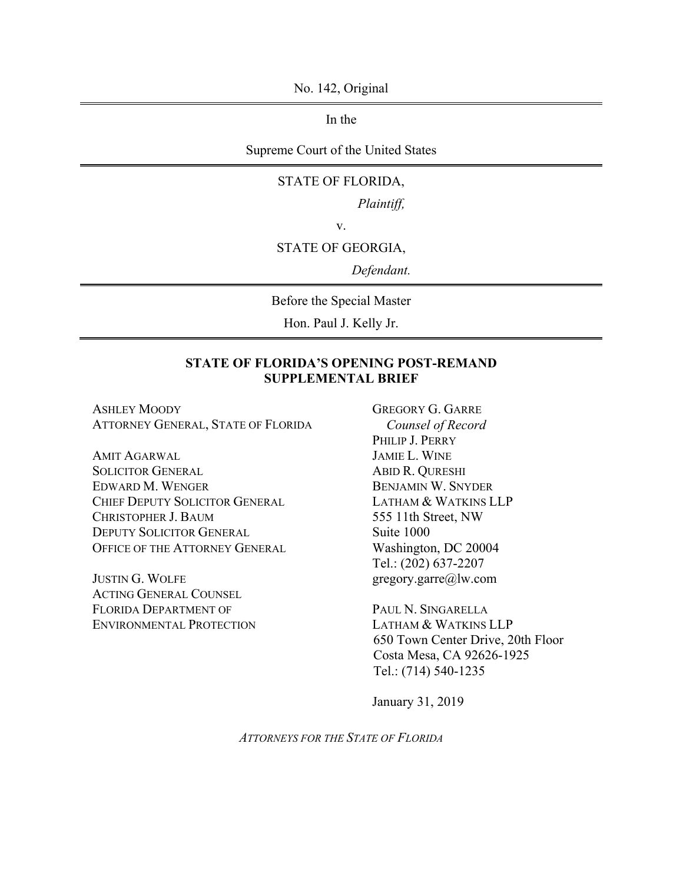No. 142, Original

In the

Supreme Court of the United States

#### STATE OF FLORIDA,

*Plaintiff,*

v.

#### STATE OF GEORGIA,

*Defendant.*

Before the Special Master

Hon. Paul J. Kelly Jr.

#### **STATE OF FLORIDA'S OPENING POST-REMAND SUPPLEMENTAL BRIEF**

ASHLEY MOODY ATTORNEY GENERAL, STATE OF FLORIDA

AMIT AGARWAL SOLICITOR GENERAL EDWARD M. WENGER CHIEF DEPUTY SOLICITOR GENERAL CHRISTOPHER J. BAUM DEPUTY SOLICITOR GENERAL OFFICE OF THE ATTORNEY GENERAL

JUSTIN G. WOLFE ACTING GENERAL COUNSEL FLORIDA DEPARTMENT OF ENVIRONMENTAL PROTECTION GREGORY G. GARRE *Counsel of Record* PHILIP J. PERRY JAMIE L. WINE ABID R. QURESHI BENJAMIN W. SNYDER LATHAM & WATKINS LLP 555 11th Street, NW Suite 1000 Washington, DC 20004 Tel.: (202) 637-2207 gregory.garre@lw.com

PAUL N. SINGARELLA LATHAM & WATKINS LLP 650 Town Center Drive, 20th Floor Costa Mesa, CA 92626-1925 Tel.: (714) 540-1235

January 31, 2019

*ATTORNEYS FOR THE STATE OF FLORIDA*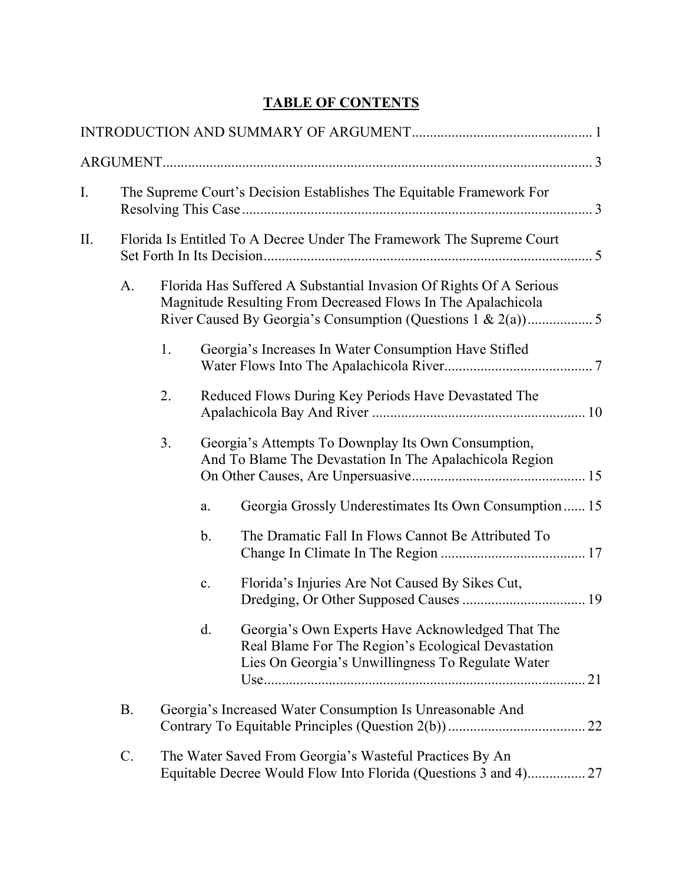## **TABLE OF CONTENTS**

| I. |                                                                       | The Supreme Court's Decision Establishes The Equitable Framework For                                                               |                |                                                                                                                                                             |  |  |  |
|----|-----------------------------------------------------------------------|------------------------------------------------------------------------------------------------------------------------------------|----------------|-------------------------------------------------------------------------------------------------------------------------------------------------------------|--|--|--|
| Π. | Florida Is Entitled To A Decree Under The Framework The Supreme Court |                                                                                                                                    |                |                                                                                                                                                             |  |  |  |
|    | A.                                                                    | Florida Has Suffered A Substantial Invasion Of Rights Of A Serious<br>Magnitude Resulting From Decreased Flows In The Apalachicola |                |                                                                                                                                                             |  |  |  |
|    |                                                                       | 1.                                                                                                                                 |                | Georgia's Increases In Water Consumption Have Stifled                                                                                                       |  |  |  |
|    |                                                                       | 2.                                                                                                                                 |                | Reduced Flows During Key Periods Have Devastated The                                                                                                        |  |  |  |
|    |                                                                       | 3.                                                                                                                                 |                | Georgia's Attempts To Downplay Its Own Consumption,<br>And To Blame The Devastation In The Apalachicola Region                                              |  |  |  |
|    |                                                                       |                                                                                                                                    | a.             | Georgia Grossly Underestimates Its Own Consumption 15                                                                                                       |  |  |  |
|    |                                                                       |                                                                                                                                    | $\mathbf b$ .  | The Dramatic Fall In Flows Cannot Be Attributed To                                                                                                          |  |  |  |
|    |                                                                       |                                                                                                                                    | $\mathbf{c}$ . | Florida's Injuries Are Not Caused By Sikes Cut,                                                                                                             |  |  |  |
|    |                                                                       |                                                                                                                                    | d.             | Georgia's Own Experts Have Acknowledged That The<br>Real Blame For The Region's Ecological Devastation<br>Lies On Georgia's Unwillingness To Regulate Water |  |  |  |
|    | Β.                                                                    | Georgia's Increased Water Consumption Is Unreasonable And                                                                          |                |                                                                                                                                                             |  |  |  |
|    | C.                                                                    |                                                                                                                                    |                | The Water Saved From Georgia's Wasteful Practices By An<br>Equitable Decree Would Flow Into Florida (Questions 3 and 4) 27                                  |  |  |  |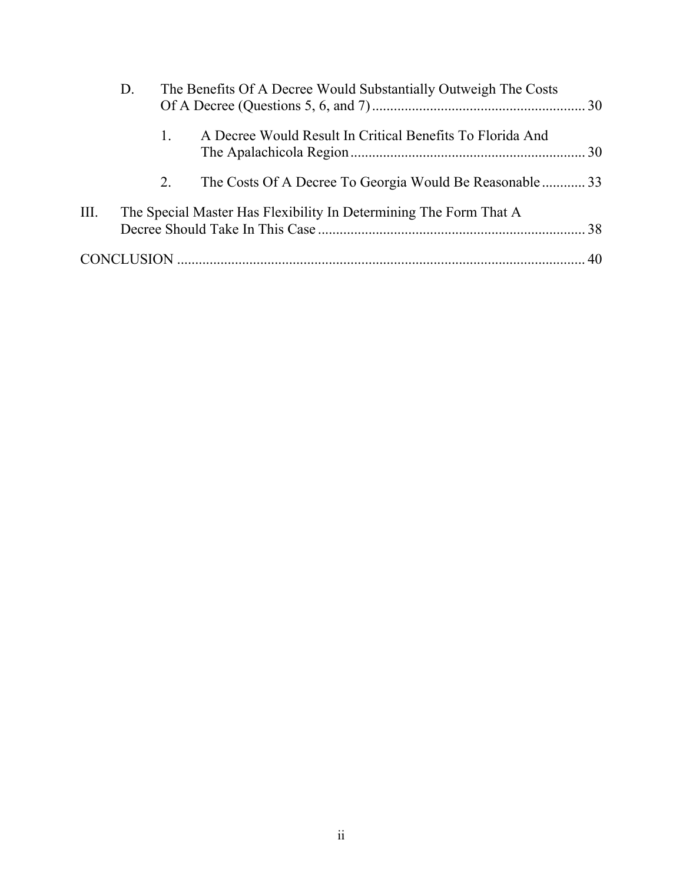|      | D.                                                                | The Benefits Of A Decree Would Substantially Outweigh The Costs |                                                           |  |  |  |
|------|-------------------------------------------------------------------|-----------------------------------------------------------------|-----------------------------------------------------------|--|--|--|
|      |                                                                   |                                                                 | A Decree Would Result In Critical Benefits To Florida And |  |  |  |
|      |                                                                   | 2.                                                              | The Costs Of A Decree To Georgia Would Be Reasonable33    |  |  |  |
| III. | The Special Master Has Flexibility In Determining The Form That A |                                                                 |                                                           |  |  |  |
|      |                                                                   |                                                                 |                                                           |  |  |  |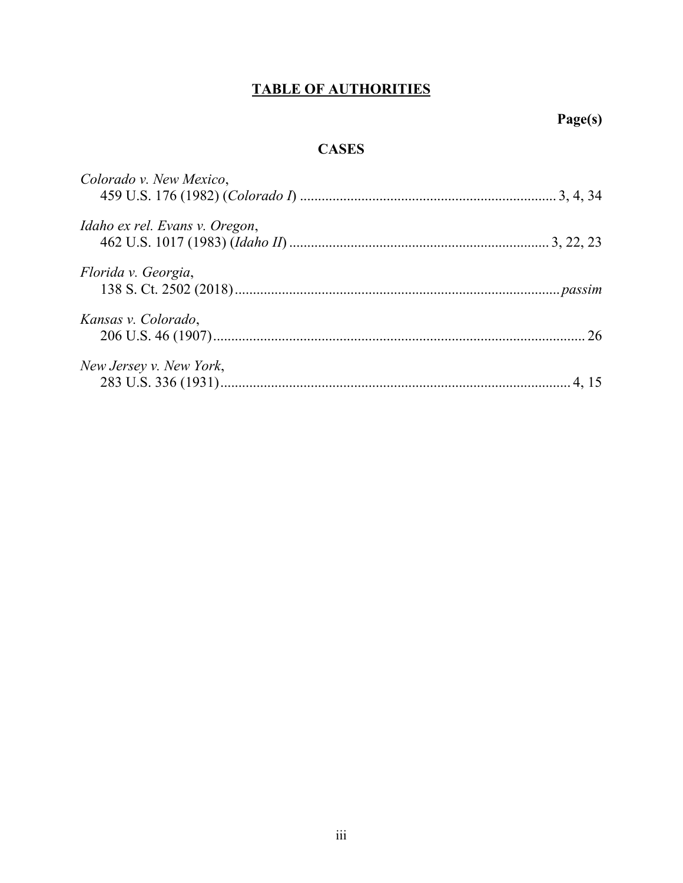# **TABLE OF AUTHORITIES**

# **Page(s)**

## **CASES**

| Colorado v. New Mexico,        |  |
|--------------------------------|--|
| Idaho ex rel. Evans v. Oregon, |  |
| Florida v. Georgia,            |  |
| Kansas v. Colorado,            |  |
| New Jersey v. New York,        |  |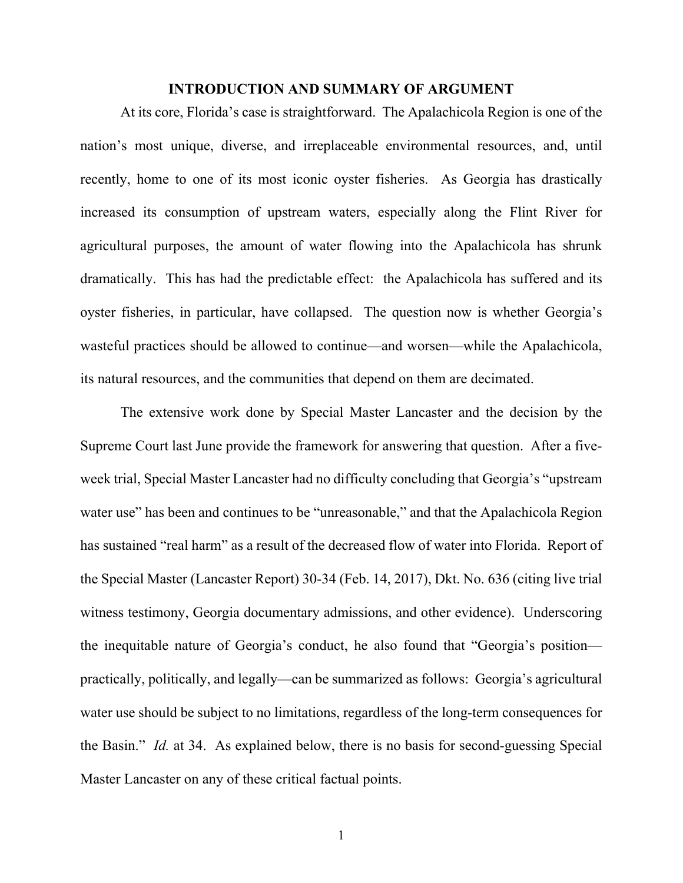#### **INTRODUCTION AND SUMMARY OF ARGUMENT**

At its core, Florida's case is straightforward. The Apalachicola Region is one of the nation's most unique, diverse, and irreplaceable environmental resources, and, until recently, home to one of its most iconic oyster fisheries. As Georgia has drastically increased its consumption of upstream waters, especially along the Flint River for agricultural purposes, the amount of water flowing into the Apalachicola has shrunk dramatically. This has had the predictable effect: the Apalachicola has suffered and its oyster fisheries, in particular, have collapsed. The question now is whether Georgia's wasteful practices should be allowed to continue—and worsen—while the Apalachicola, its natural resources, and the communities that depend on them are decimated.

The extensive work done by Special Master Lancaster and the decision by the Supreme Court last June provide the framework for answering that question. After a fiveweek trial, Special Master Lancaster had no difficulty concluding that Georgia's "upstream water use" has been and continues to be "unreasonable," and that the Apalachicola Region has sustained "real harm" as a result of the decreased flow of water into Florida. Report of the Special Master (Lancaster Report) 30-34 (Feb. 14, 2017), Dkt. No. 636 (citing live trial witness testimony, Georgia documentary admissions, and other evidence). Underscoring the inequitable nature of Georgia's conduct, he also found that "Georgia's position practically, politically, and legally—can be summarized as follows: Georgia's agricultural water use should be subject to no limitations, regardless of the long-term consequences for the Basin." *Id.* at 34. As explained below, there is no basis for second-guessing Special Master Lancaster on any of these critical factual points.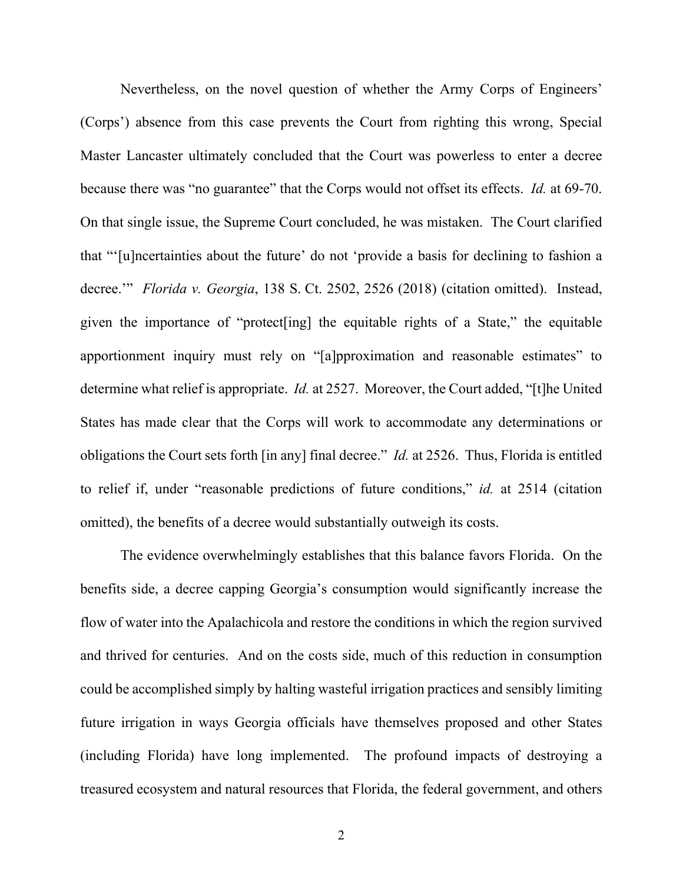Nevertheless, on the novel question of whether the Army Corps of Engineers' (Corps') absence from this case prevents the Court from righting this wrong, Special Master Lancaster ultimately concluded that the Court was powerless to enter a decree because there was "no guarantee" that the Corps would not offset its effects. *Id.* at 69-70. On that single issue, the Supreme Court concluded, he was mistaken. The Court clarified that "'[u]ncertainties about the future' do not 'provide a basis for declining to fashion a decree.'" *Florida v. Georgia*, 138 S. Ct. 2502, 2526 (2018) (citation omitted). Instead, given the importance of "protect[ing] the equitable rights of a State," the equitable apportionment inquiry must rely on "[a]pproximation and reasonable estimates" to determine what relief is appropriate. *Id.* at 2527.Moreover, the Court added, "[t]he United States has made clear that the Corps will work to accommodate any determinations or obligations the Court sets forth [in any] final decree." *Id.* at 2526.Thus, Florida is entitled to relief if, under "reasonable predictions of future conditions," *id.* at 2514 (citation omitted), the benefits of a decree would substantially outweigh its costs.

The evidence overwhelmingly establishes that this balance favors Florida. On the benefits side, a decree capping Georgia's consumption would significantly increase the flow of water into the Apalachicola and restore the conditions in which the region survived and thrived for centuries. And on the costs side, much of this reduction in consumption could be accomplished simply by halting wasteful irrigation practices and sensibly limiting future irrigation in ways Georgia officials have themselves proposed and other States (including Florida) have long implemented. The profound impacts of destroying a treasured ecosystem and natural resources that Florida, the federal government, and others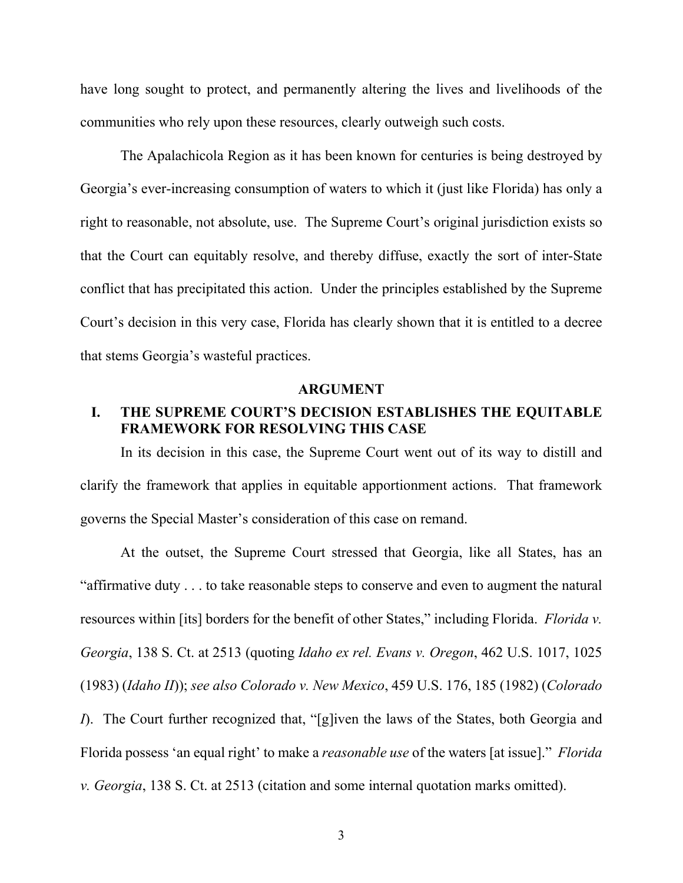have long sought to protect, and permanently altering the lives and livelihoods of the communities who rely upon these resources, clearly outweigh such costs.

The Apalachicola Region as it has been known for centuries is being destroyed by Georgia's ever-increasing consumption of waters to which it (just like Florida) has only a right to reasonable, not absolute, use. The Supreme Court's original jurisdiction exists so that the Court can equitably resolve, and thereby diffuse, exactly the sort of inter-State conflict that has precipitated this action. Under the principles established by the Supreme Court's decision in this very case, Florida has clearly shown that it is entitled to a decree that stems Georgia's wasteful practices.

#### **ARGUMENT**

## **I. THE SUPREME COURT'S DECISION ESTABLISHES THE EQUITABLE FRAMEWORK FOR RESOLVING THIS CASE**

In its decision in this case, the Supreme Court went out of its way to distill and clarify the framework that applies in equitable apportionment actions. That framework governs the Special Master's consideration of this case on remand.

At the outset, the Supreme Court stressed that Georgia, like all States, has an "affirmative duty . . . to take reasonable steps to conserve and even to augment the natural resources within [its] borders for the benefit of other States," including Florida. *Florida v. Georgia*, 138 S. Ct. at 2513 (quoting *Idaho ex rel. Evans v. Oregon*, 462 U.S. 1017, 1025 (1983) (*Idaho II*)); *see also Colorado v. New Mexico*, 459 U.S. 176, 185 (1982) (*Colorado I*). The Court further recognized that, "[g]iven the laws of the States, both Georgia and Florida possess 'an equal right' to make a *reasonable use* of the waters [at issue]." *Florida v. Georgia*, 138 S. Ct. at 2513 (citation and some internal quotation marks omitted).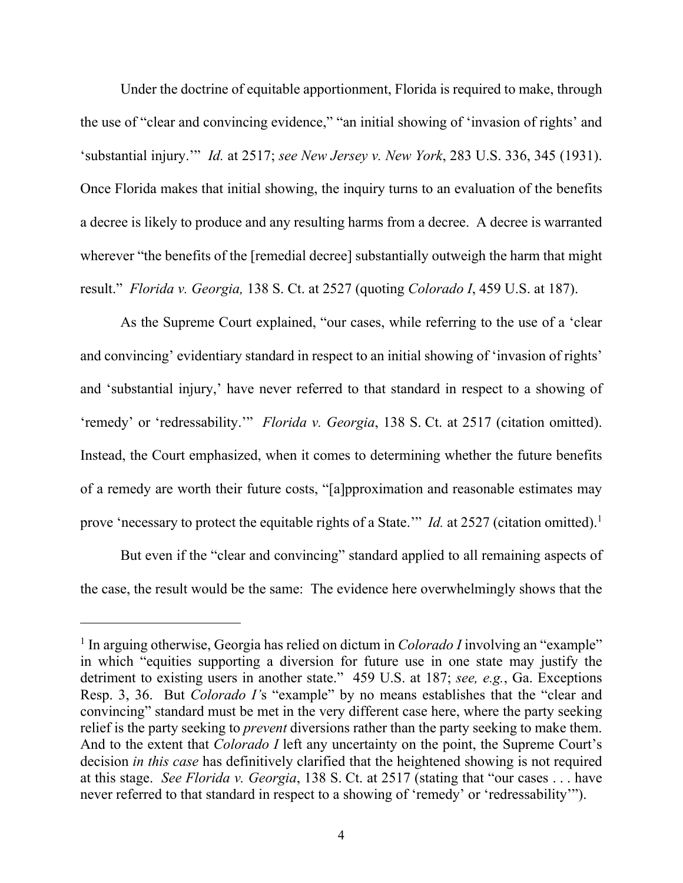Under the doctrine of equitable apportionment, Florida is required to make, through the use of "clear and convincing evidence," "an initial showing of 'invasion of rights' and 'substantial injury.'" *Id.* at 2517; *see New Jersey v. New York*, 283 U.S. 336, 345 (1931). Once Florida makes that initial showing, the inquiry turns to an evaluation of the benefits a decree is likely to produce and any resulting harms from a decree. A decree is warranted wherever "the benefits of the [remedial decree] substantially outweigh the harm that might result." *Florida v. Georgia,* 138 S. Ct. at 2527 (quoting *Colorado I*, 459 U.S. at 187).

As the Supreme Court explained, "our cases, while referring to the use of a 'clear and convincing' evidentiary standard in respect to an initial showing of 'invasion of rights' and 'substantial injury,' have never referred to that standard in respect to a showing of 'remedy' or 'redressability.'" *Florida v. Georgia*, 138 S. Ct. at 2517 (citation omitted). Instead, the Court emphasized, when it comes to determining whether the future benefits of a remedy are worth their future costs, "[a]pproximation and reasonable estimates may prove 'necessary to protect the equitable rights of a State." *Id.* at 2527 (citation omitted).<sup>1</sup>

But even if the "clear and convincing" standard applied to all remaining aspects of the case, the result would be the same: The evidence here overwhelmingly shows that the

<sup>&</sup>lt;sup>1</sup> In arguing otherwise, Georgia has relied on dictum in *Colorado I* involving an "example" in which "equities supporting a diversion for future use in one state may justify the detriment to existing users in another state." 459 U.S. at 187; *see, e.g.*, Ga. Exceptions Resp. 3, 36. But *Colorado I'*s "example" by no means establishes that the "clear and convincing" standard must be met in the very different case here, where the party seeking relief is the party seeking to *prevent* diversions rather than the party seeking to make them. And to the extent that *Colorado I* left any uncertainty on the point, the Supreme Court's decision *in this case* has definitively clarified that the heightened showing is not required at this stage. *See Florida v. Georgia*, 138 S. Ct. at 2517 (stating that "our cases . . . have never referred to that standard in respect to a showing of 'remedy' or 'redressability'").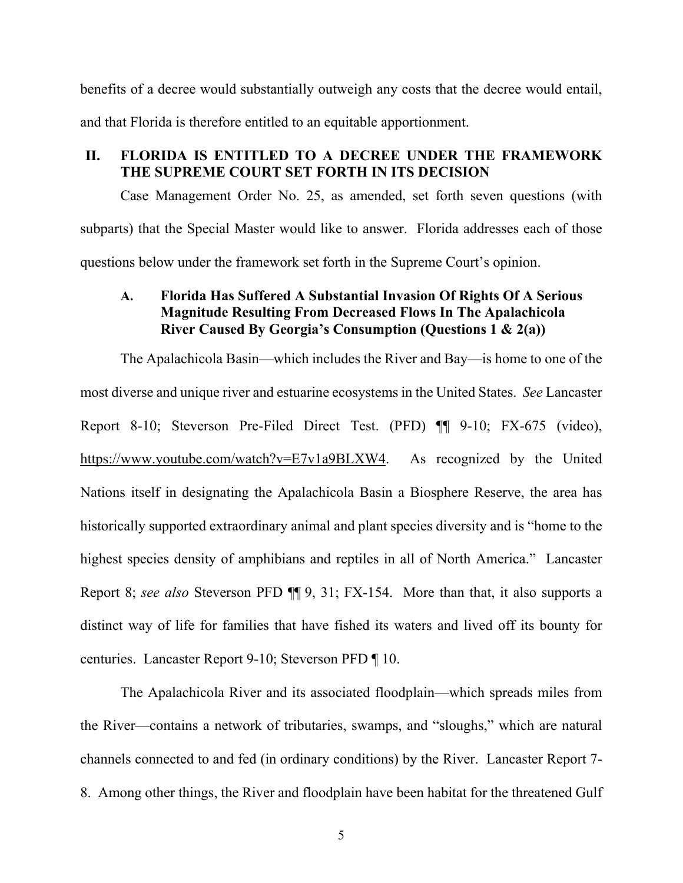benefits of a decree would substantially outweigh any costs that the decree would entail, and that Florida is therefore entitled to an equitable apportionment.

#### **II. FLORIDA IS ENTITLED TO A DECREE UNDER THE FRAMEWORK THE SUPREME COURT SET FORTH IN ITS DECISION**

Case Management Order No. 25, as amended, set forth seven questions (with subparts) that the Special Master would like to answer. Florida addresses each of those questions below under the framework set forth in the Supreme Court's opinion.

## **A. Florida Has Suffered A Substantial Invasion Of Rights Of A Serious Magnitude Resulting From Decreased Flows In The Apalachicola River Caused By Georgia's Consumption (Questions 1 & 2(a))**

The Apalachicola Basin—which includes the River and Bay—is home to one of the most diverse and unique river and estuarine ecosystems in the United States. *See* Lancaster Report 8-10; Steverson Pre-Filed Direct Test. (PFD) ¶¶ 9-10; FX-675 (video), https://www.youtube.com/watch?v=E7v1a9BLXW4. As recognized by the United Nations itself in designating the Apalachicola Basin a Biosphere Reserve, the area has historically supported extraordinary animal and plant species diversity and is "home to the highest species density of amphibians and reptiles in all of North America." Lancaster Report 8; *see also* Steverson PFD ¶¶ 9, 31; FX-154. More than that, it also supports a distinct way of life for families that have fished its waters and lived off its bounty for centuries. Lancaster Report 9-10; Steverson PFD ¶ 10.

The Apalachicola River and its associated floodplain—which spreads miles from the River—contains a network of tributaries, swamps, and "sloughs," which are natural channels connected to and fed (in ordinary conditions) by the River. Lancaster Report 7- 8. Among other things, the River and floodplain have been habitat for the threatened Gulf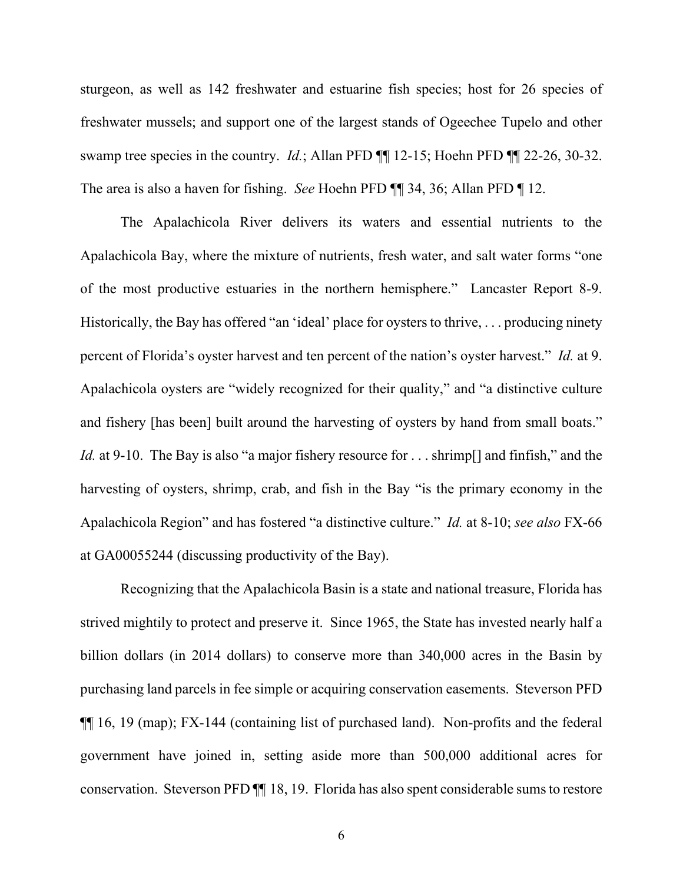sturgeon, as well as 142 freshwater and estuarine fish species; host for 26 species of freshwater mussels; and support one of the largest stands of Ogeechee Tupelo and other swamp tree species in the country. *Id.*; Allan PFD ¶¶ 12-15; Hoehn PFD ¶¶ 22-26, 30-32. The area is also a haven for fishing. *See* Hoehn PFD ¶¶ 34, 36; Allan PFD ¶ 12.

The Apalachicola River delivers its waters and essential nutrients to the Apalachicola Bay, where the mixture of nutrients, fresh water, and salt water forms "one of the most productive estuaries in the northern hemisphere." Lancaster Report 8-9. Historically, the Bay has offered "an 'ideal' place for oysters to thrive, . . . producing ninety percent of Florida's oyster harvest and ten percent of the nation's oyster harvest." *Id.* at 9. Apalachicola oysters are "widely recognized for their quality," and "a distinctive culture and fishery [has been] built around the harvesting of oysters by hand from small boats." *Id.* at 9-10. The Bay is also "a major fishery resource for . . . shrimp<sup>[]</sup> and finfish," and the harvesting of oysters, shrimp, crab, and fish in the Bay "is the primary economy in the Apalachicola Region" and has fostered "a distinctive culture." *Id.* at 8-10; *see also* FX-66 at GA00055244 (discussing productivity of the Bay).

Recognizing that the Apalachicola Basin is a state and national treasure, Florida has strived mightily to protect and preserve it. Since 1965, the State has invested nearly half a billion dollars (in 2014 dollars) to conserve more than 340,000 acres in the Basin by purchasing land parcels in fee simple or acquiring conservation easements. Steverson PFD ¶¶ 16, 19 (map); FX-144 (containing list of purchased land). Non-profits and the federal government have joined in, setting aside more than 500,000 additional acres for conservation. Steverson PFD ¶¶ 18, 19. Florida has also spent considerable sums to restore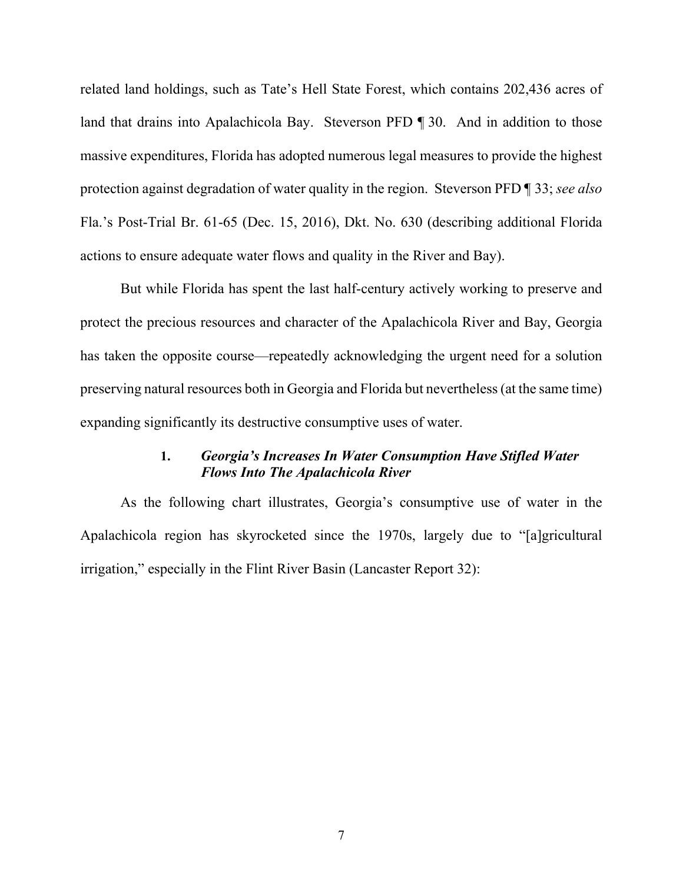related land holdings, such as Tate's Hell State Forest, which contains 202,436 acres of land that drains into Apalachicola Bay. Steverson PFD ¶ 30. And in addition to those massive expenditures, Florida has adopted numerous legal measures to provide the highest protection against degradation of water quality in the region. Steverson PFD ¶ 33; *see also*  Fla.'s Post-Trial Br. 61-65 (Dec. 15, 2016), Dkt. No. 630 (describing additional Florida actions to ensure adequate water flows and quality in the River and Bay).

But while Florida has spent the last half-century actively working to preserve and protect the precious resources and character of the Apalachicola River and Bay, Georgia has taken the opposite course—repeatedly acknowledging the urgent need for a solution preserving natural resources both in Georgia and Florida but nevertheless (at the same time) expanding significantly its destructive consumptive uses of water.

#### **1.** *Georgia's Increases In Water Consumption Have Stifled Water Flows Into The Apalachicola River*

As the following chart illustrates, Georgia's consumptive use of water in the Apalachicola region has skyrocketed since the 1970s, largely due to "[a]gricultural irrigation," especially in the Flint River Basin (Lancaster Report 32):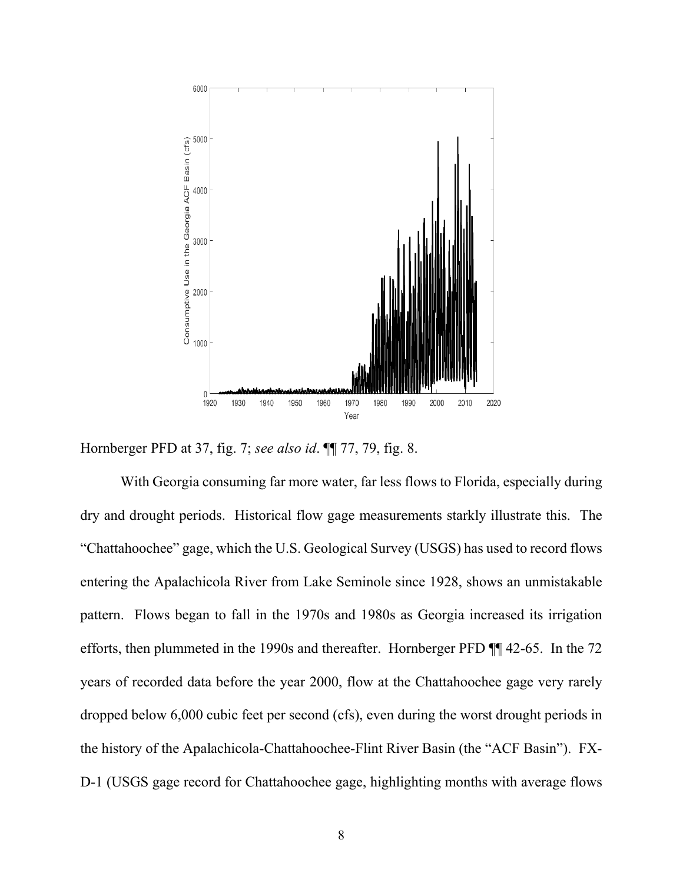

Hornberger PFD at 37, fig. 7; *see also id*. ¶¶ 77, 79, fig. 8.

With Georgia consuming far more water, far less flows to Florida, especially during dry and drought periods. Historical flow gage measurements starkly illustrate this. The "Chattahoochee" gage, which the U.S. Geological Survey (USGS) has used to record flows entering the Apalachicola River from Lake Seminole since 1928, shows an unmistakable pattern. Flows began to fall in the 1970s and 1980s as Georgia increased its irrigation efforts, then plummeted in the 1990s and thereafter. Hornberger PFD ¶¶ 42-65. In the 72 years of recorded data before the year 2000, flow at the Chattahoochee gage very rarely dropped below 6,000 cubic feet per second (cfs), even during the worst drought periods in the history of the Apalachicola-Chattahoochee-Flint River Basin (the "ACF Basin"). FX-D-1 (USGS gage record for Chattahoochee gage, highlighting months with average flows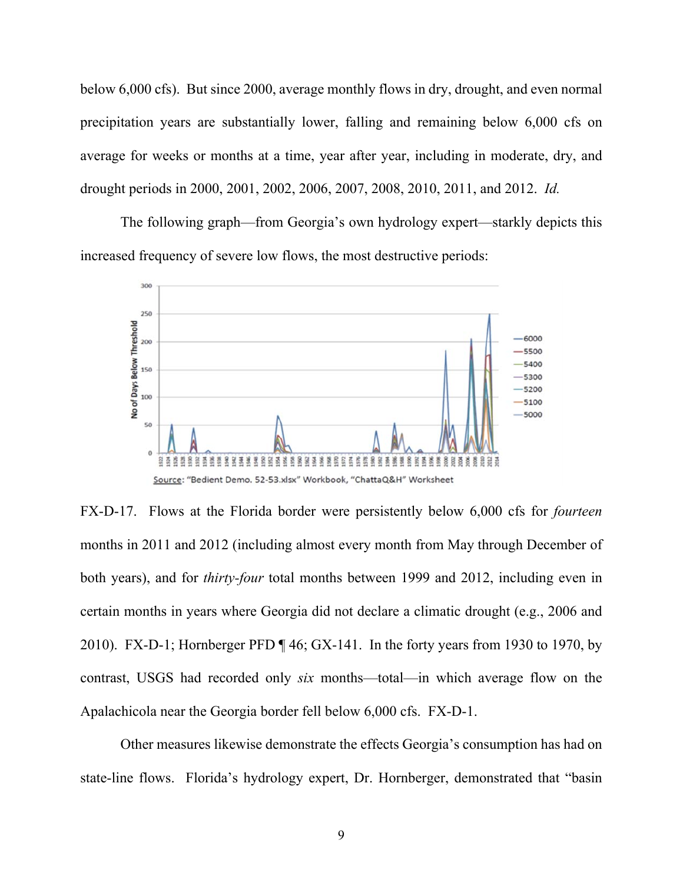below 6,000 cfs). But since 2000, average monthly flows in dry, drought, and even normal precipitation years are substantially lower, falling and remaining below 6,000 cfs on average for weeks or months at a time, year after year, including in moderate, dry, and drought periods in 2000, 2001, 2002, 2006, 2007, 2008, 2010, 2011, and 2012. *Id.*

The following graph—from Georgia's own hydrology expert—starkly depicts this increased frequency of severe low flows, the most destructive periods:



FX-D-17. Flows at the Florida border were persistently below 6,000 cfs for *fourteen* months in 2011 and 2012 (including almost every month from May through December of both years), and for *thirty-four* total months between 1999 and 2012, including even in certain months in years where Georgia did not declare a climatic drought (e.g., 2006 and 2010). FX-D-1; Hornberger PFD ¶ 46; GX-141. In the forty years from 1930 to 1970, by contrast, USGS had recorded only *six* months—total—in which average flow on the Apalachicola near the Georgia border fell below 6,000 cfs. FX-D-1.

Other measures likewise demonstrate the effects Georgia's consumption has had on state-line flows. Florida's hydrology expert, Dr. Hornberger, demonstrated that "basin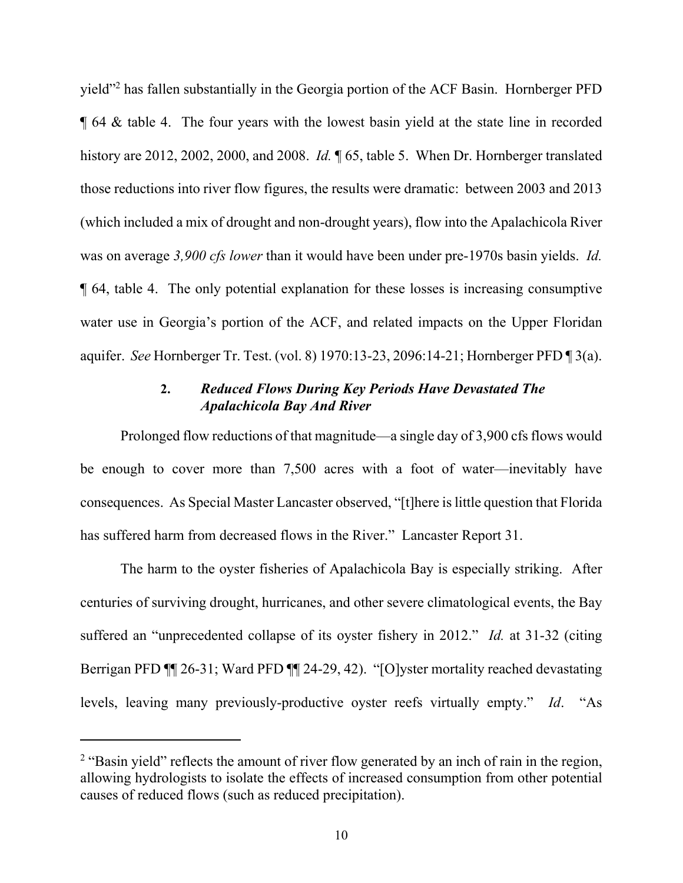yield"2 has fallen substantially in the Georgia portion of the ACF Basin. Hornberger PFD ¶ 64 & table 4. The four years with the lowest basin yield at the state line in recorded history are 2012, 2002, 2000, and 2008. *Id.* ¶ 65, table 5. When Dr. Hornberger translated those reductions into river flow figures, the results were dramatic: between 2003 and 2013 (which included a mix of drought and non-drought years), flow into the Apalachicola River was on average *3,900 cfs lower* than it would have been under pre-1970s basin yields. *Id.* ¶ 64, table 4. The only potential explanation for these losses is increasing consumptive water use in Georgia's portion of the ACF, and related impacts on the Upper Floridan aquifer. *See* Hornberger Tr. Test. (vol. 8) 1970:13-23, 2096:14-21; Hornberger PFD ¶ 3(a).

#### **2.** *Reduced Flows During Key Periods Have Devastated The Apalachicola Bay And River*

Prolonged flow reductions of that magnitude—a single day of 3,900 cfs flows would be enough to cover more than 7,500 acres with a foot of water—inevitably have consequences. As Special Master Lancaster observed, "[t]here is little question that Florida has suffered harm from decreased flows in the River." Lancaster Report 31.

The harm to the oyster fisheries of Apalachicola Bay is especially striking. After centuries of surviving drought, hurricanes, and other severe climatological events, the Bay suffered an "unprecedented collapse of its oyster fishery in 2012." *Id.* at 31-32 (citing Berrigan PFD ¶¶ 26-31; Ward PFD ¶¶ 24-29, 42). "[O]yster mortality reached devastating levels, leaving many previously-productive oyster reefs virtually empty." *Id*. "As

 $2$  "Basin yield" reflects the amount of river flow generated by an inch of rain in the region, allowing hydrologists to isolate the effects of increased consumption from other potential causes of reduced flows (such as reduced precipitation).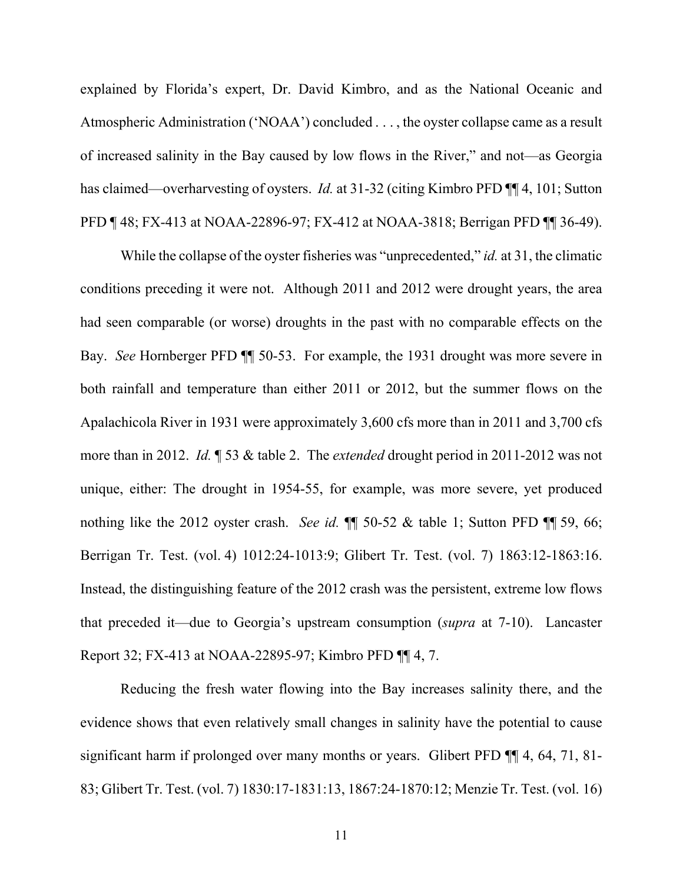explained by Florida's expert, Dr. David Kimbro, and as the National Oceanic and Atmospheric Administration ('NOAA') concluded . . . , the oyster collapse came as a result of increased salinity in the Bay caused by low flows in the River," and not—as Georgia has claimed—overharvesting of oysters. *Id.* at 31-32 (citing Kimbro PFD ¶ 4, 101; Sutton PFD ¶ 48; FX-413 at NOAA-22896-97; FX-412 at NOAA-3818; Berrigan PFD ¶¶ 36-49).

While the collapse of the oyster fisheries was "unprecedented," *id.* at 31, the climatic conditions preceding it were not. Although 2011 and 2012 were drought years, the area had seen comparable (or worse) droughts in the past with no comparable effects on the Bay. *See* Hornberger PFD ¶¶ 50-53. For example, the 1931 drought was more severe in both rainfall and temperature than either 2011 or 2012, but the summer flows on the Apalachicola River in 1931 were approximately 3,600 cfs more than in 2011 and 3,700 cfs more than in 2012. *Id.* ¶ 53 & table 2. The *extended* drought period in 2011-2012 was not unique, either: The drought in 1954-55, for example, was more severe, yet produced nothing like the 2012 oyster crash. *See id.* ¶¶ 50-52 & table 1; Sutton PFD ¶¶ 59, 66; Berrigan Tr. Test. (vol. 4) 1012:24-1013:9; Glibert Tr. Test. (vol. 7) 1863:12-1863:16. Instead, the distinguishing feature of the 2012 crash was the persistent, extreme low flows that preceded it—due to Georgia's upstream consumption (*supra* at 7-10). Lancaster Report 32; FX-413 at NOAA-22895-97; Kimbro PFD ¶¶ 4, 7.

Reducing the fresh water flowing into the Bay increases salinity there, and the evidence shows that even relatively small changes in salinity have the potential to cause significant harm if prolonged over many months or years. Glibert PFD  $\P$  4, 64, 71, 81-83; Glibert Tr. Test. (vol. 7) 1830:17-1831:13, 1867:24-1870:12; Menzie Tr. Test. (vol. 16)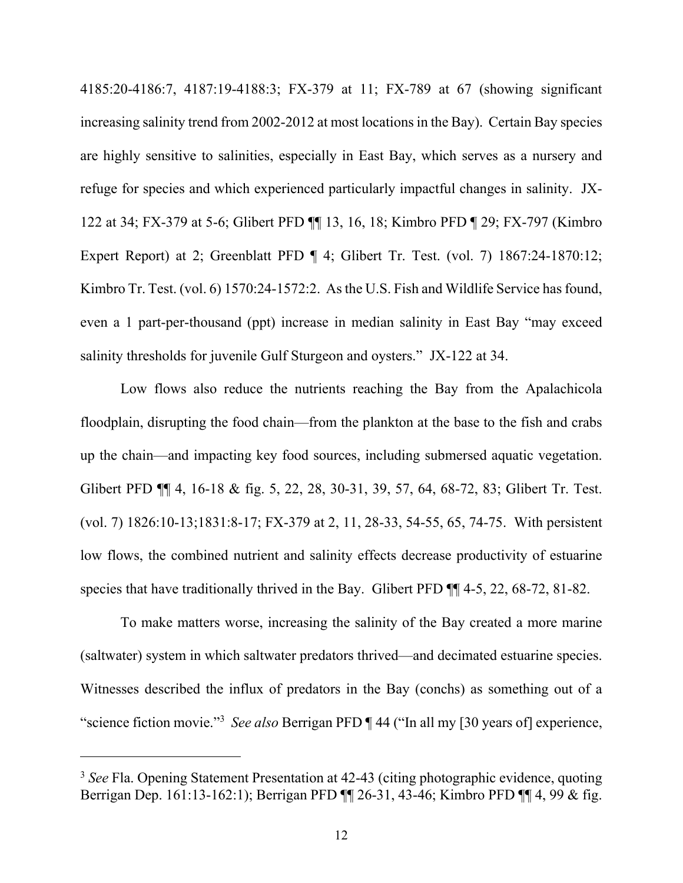4185:20-4186:7, 4187:19-4188:3; FX-379 at 11; FX-789 at 67 (showing significant increasing salinity trend from 2002-2012 at most locations in the Bay). Certain Bay species are highly sensitive to salinities, especially in East Bay, which serves as a nursery and refuge for species and which experienced particularly impactful changes in salinity. JX-122 at 34; FX-379 at 5-6; Glibert PFD ¶¶ 13, 16, 18; Kimbro PFD ¶ 29; FX-797 (Kimbro Expert Report) at 2; Greenblatt PFD ¶ 4; Glibert Tr. Test. (vol. 7) 1867:24-1870:12; Kimbro Tr. Test. (vol. 6) 1570:24-1572:2. As the U.S. Fish and Wildlife Service has found, even a 1 part-per-thousand (ppt) increase in median salinity in East Bay "may exceed salinity thresholds for juvenile Gulf Sturgeon and oysters." JX-122 at 34.

Low flows also reduce the nutrients reaching the Bay from the Apalachicola floodplain, disrupting the food chain—from the plankton at the base to the fish and crabs up the chain—and impacting key food sources, including submersed aquatic vegetation. Glibert PFD ¶¶ 4, 16-18 & fig. 5, 22, 28, 30-31, 39, 57, 64, 68-72, 83; Glibert Tr. Test. (vol. 7) 1826:10-13;1831:8-17; FX-379 at 2, 11, 28-33, 54-55, 65, 74-75. With persistent low flows, the combined nutrient and salinity effects decrease productivity of estuarine species that have traditionally thrived in the Bay. Glibert PFD  $\P$  4-5, 22, 68-72, 81-82.

To make matters worse, increasing the salinity of the Bay created a more marine (saltwater) system in which saltwater predators thrived—and decimated estuarine species. Witnesses described the influx of predators in the Bay (conchs) as something out of a "science fiction movie."3 *See also* Berrigan PFD ¶ 44 ("In all my [30 years of] experience,

<sup>&</sup>lt;sup>3</sup> See Fla. Opening Statement Presentation at 42-43 (citing photographic evidence, quoting Berrigan Dep. 161:13-162:1); Berrigan PFD ¶¶ 26-31, 43-46; Kimbro PFD ¶¶ 4, 99 & fig.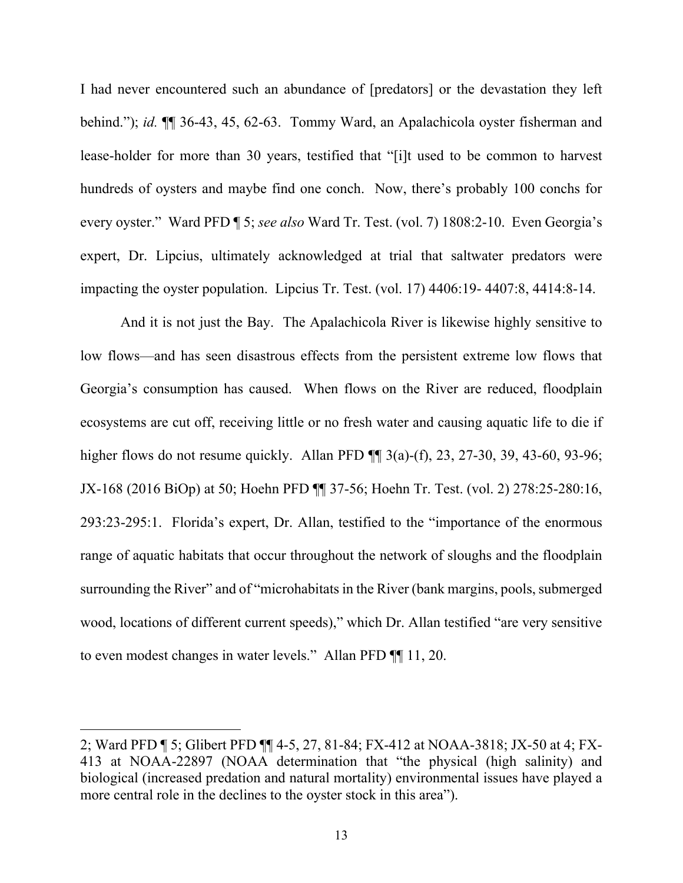I had never encountered such an abundance of [predators] or the devastation they left behind."); *id.* ¶¶ 36-43, 45, 62-63. Tommy Ward, an Apalachicola oyster fisherman and lease-holder for more than 30 years, testified that "[i]t used to be common to harvest hundreds of oysters and maybe find one conch. Now, there's probably 100 conchs for every oyster." Ward PFD ¶ 5; *see also* Ward Tr. Test. (vol. 7) 1808:2-10. Even Georgia's expert, Dr. Lipcius, ultimately acknowledged at trial that saltwater predators were impacting the oyster population. Lipcius Tr. Test. (vol. 17) 4406:19- 4407:8, 4414:8-14.

And it is not just the Bay. The Apalachicola River is likewise highly sensitive to low flows—and has seen disastrous effects from the persistent extreme low flows that Georgia's consumption has caused. When flows on the River are reduced, floodplain ecosystems are cut off, receiving little or no fresh water and causing aquatic life to die if higher flows do not resume quickly. Allan PFD  $\P$  3(a)-(f), 23, 27-30, 39, 43-60, 93-96; JX-168 (2016 BiOp) at 50; Hoehn PFD ¶¶ 37-56; Hoehn Tr. Test. (vol. 2) 278:25-280:16, 293:23-295:1. Florida's expert, Dr. Allan, testified to the "importance of the enormous range of aquatic habitats that occur throughout the network of sloughs and the floodplain surrounding the River" and of "microhabitats in the River (bank margins, pools, submerged wood, locations of different current speeds)," which Dr. Allan testified "are very sensitive to even modest changes in water levels." Allan PFD ¶¶ 11, 20.

<sup>2;</sup> Ward PFD ¶ 5; Glibert PFD ¶¶ 4-5, 27, 81-84; FX-412 at NOAA-3818; JX-50 at 4; FX-413 at NOAA-22897 (NOAA determination that "the physical (high salinity) and biological (increased predation and natural mortality) environmental issues have played a more central role in the declines to the oyster stock in this area").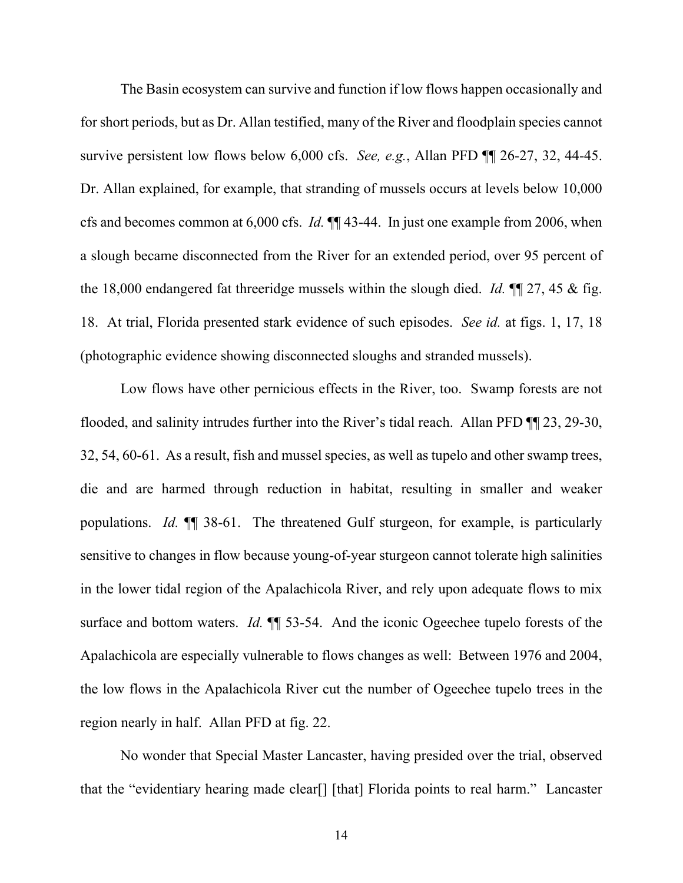The Basin ecosystem can survive and function if low flows happen occasionally and for short periods, but as Dr. Allan testified, many of the River and floodplain species cannot survive persistent low flows below 6,000 cfs. *See, e.g.*, Allan PFD ¶¶ 26-27, 32, 44-45. Dr. Allan explained, for example, that stranding of mussels occurs at levels below 10,000 cfs and becomes common at 6,000 cfs. *Id.* ¶¶ 43-44. In just one example from 2006, when a slough became disconnected from the River for an extended period, over 95 percent of the 18,000 endangered fat threeridge mussels within the slough died. *Id.* ¶¶ 27, 45 & fig. 18. At trial, Florida presented stark evidence of such episodes. *See id.* at figs. 1, 17, 18 (photographic evidence showing disconnected sloughs and stranded mussels).

Low flows have other pernicious effects in the River, too. Swamp forests are not flooded, and salinity intrudes further into the River's tidal reach. Allan PFD ¶¶ 23, 29-30, 32, 54, 60-61. As a result, fish and mussel species, as well as tupelo and other swamp trees, die and are harmed through reduction in habitat, resulting in smaller and weaker populations. *Id.* ¶¶ 38-61. The threatened Gulf sturgeon, for example, is particularly sensitive to changes in flow because young-of-year sturgeon cannot tolerate high salinities in the lower tidal region of the Apalachicola River, and rely upon adequate flows to mix surface and bottom waters. *Id.*  $\P$  53-54. And the iconic Ogeechee tupelo forests of the Apalachicola are especially vulnerable to flows changes as well: Between 1976 and 2004, the low flows in the Apalachicola River cut the number of Ogeechee tupelo trees in the region nearly in half. Allan PFD at fig. 22.

No wonder that Special Master Lancaster, having presided over the trial, observed that the "evidentiary hearing made clear[] [that] Florida points to real harm." Lancaster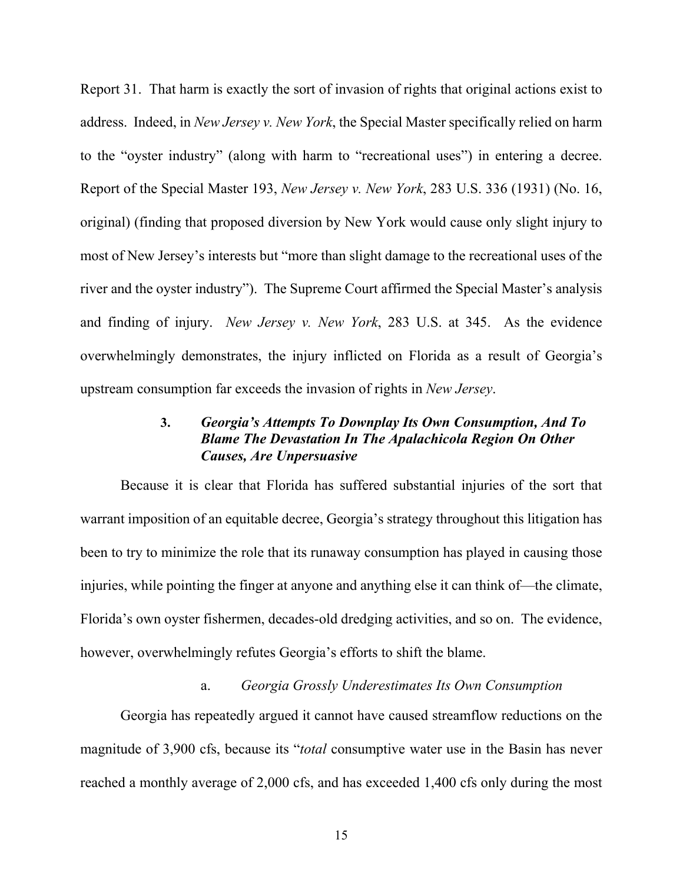Report 31. That harm is exactly the sort of invasion of rights that original actions exist to address. Indeed, in *New Jersey v. New York*, the Special Master specifically relied on harm to the "oyster industry" (along with harm to "recreational uses") in entering a decree. Report of the Special Master 193, *New Jersey v. New York*, 283 U.S. 336 (1931) (No. 16, original) (finding that proposed diversion by New York would cause only slight injury to most of New Jersey's interests but "more than slight damage to the recreational uses of the river and the oyster industry"). The Supreme Court affirmed the Special Master's analysis and finding of injury. *New Jersey v. New York*, 283 U.S. at 345. As the evidence overwhelmingly demonstrates, the injury inflicted on Florida as a result of Georgia's upstream consumption far exceeds the invasion of rights in *New Jersey*.

## **3.** *Georgia's Attempts To Downplay Its Own Consumption, And To Blame The Devastation In The Apalachicola Region On Other Causes, Are Unpersuasive*

Because it is clear that Florida has suffered substantial injuries of the sort that warrant imposition of an equitable decree, Georgia's strategy throughout this litigation has been to try to minimize the role that its runaway consumption has played in causing those injuries, while pointing the finger at anyone and anything else it can think of—the climate, Florida's own oyster fishermen, decades-old dredging activities, and so on. The evidence, however, overwhelmingly refutes Georgia's efforts to shift the blame.

#### a. *Georgia Grossly Underestimates Its Own Consumption*

Georgia has repeatedly argued it cannot have caused streamflow reductions on the magnitude of 3,900 cfs, because its "*total* consumptive water use in the Basin has never reached a monthly average of 2,000 cfs, and has exceeded 1,400 cfs only during the most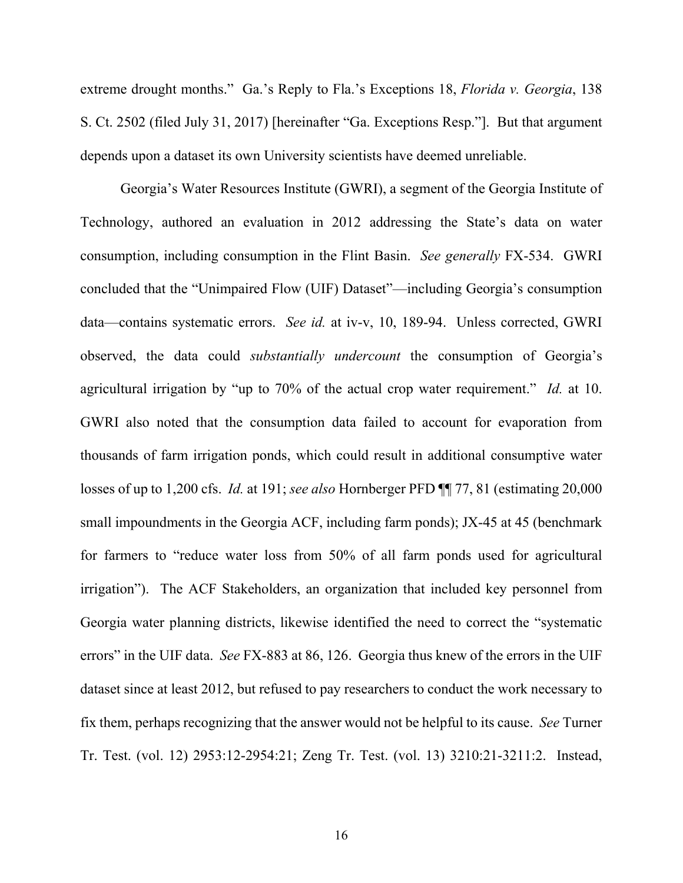extreme drought months." Ga.'s Reply to Fla.'s Exceptions 18, *Florida v. Georgia*, 138 S. Ct. 2502 (filed July 31, 2017) [hereinafter "Ga. Exceptions Resp."]. But that argument depends upon a dataset its own University scientists have deemed unreliable.

Georgia's Water Resources Institute (GWRI), a segment of the Georgia Institute of Technology, authored an evaluation in 2012 addressing the State's data on water consumption, including consumption in the Flint Basin. *See generally* FX-534. GWRI concluded that the "Unimpaired Flow (UIF) Dataset"—including Georgia's consumption data—contains systematic errors. *See id.* at iv-v, 10, 189-94. Unless corrected, GWRI observed, the data could *substantially undercount* the consumption of Georgia's agricultural irrigation by "up to 70% of the actual crop water requirement." *Id.* at 10. GWRI also noted that the consumption data failed to account for evaporation from thousands of farm irrigation ponds, which could result in additional consumptive water losses of up to 1,200 cfs. *Id.* at 191; *see also* Hornberger PFD ¶¶ 77, 81 (estimating 20,000 small impoundments in the Georgia ACF, including farm ponds); JX-45 at 45 (benchmark for farmers to "reduce water loss from 50% of all farm ponds used for agricultural irrigation"). The ACF Stakeholders, an organization that included key personnel from Georgia water planning districts, likewise identified the need to correct the "systematic errors" in the UIF data. *See* FX-883 at 86, 126. Georgia thus knew of the errors in the UIF dataset since at least 2012, but refused to pay researchers to conduct the work necessary to fix them, perhaps recognizing that the answer would not be helpful to its cause. *See* Turner Tr. Test. (vol. 12) 2953:12-2954:21; Zeng Tr. Test. (vol. 13) 3210:21-3211:2. Instead,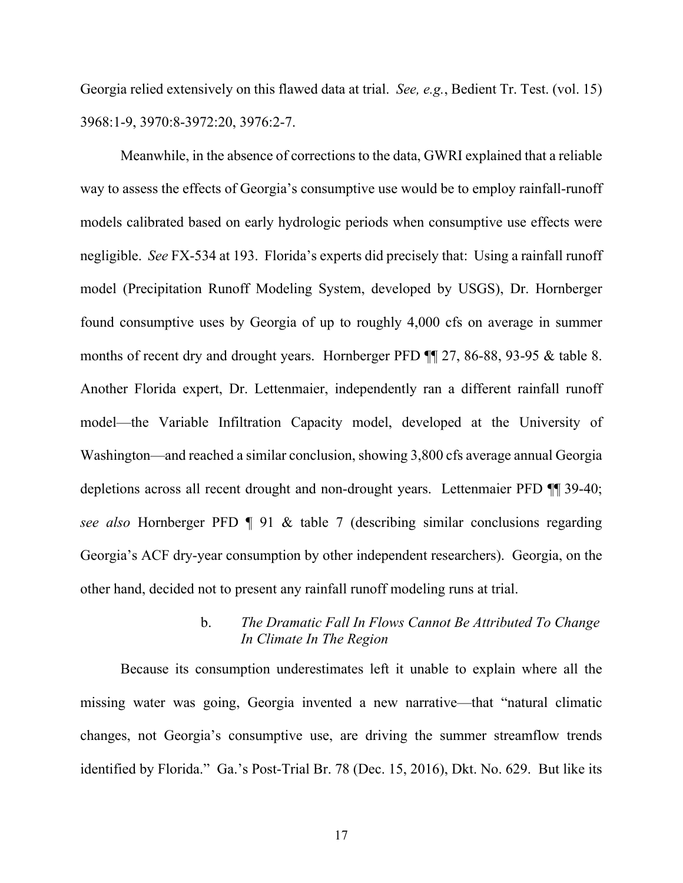Georgia relied extensively on this flawed data at trial. *See, e.g.*, Bedient Tr. Test. (vol. 15) 3968:1-9, 3970:8-3972:20, 3976:2-7.

Meanwhile, in the absence of corrections to the data, GWRI explained that a reliable way to assess the effects of Georgia's consumptive use would be to employ rainfall-runoff models calibrated based on early hydrologic periods when consumptive use effects were negligible. *See* FX-534 at 193. Florida's experts did precisely that: Using a rainfall runoff model (Precipitation Runoff Modeling System, developed by USGS), Dr. Hornberger found consumptive uses by Georgia of up to roughly 4,000 cfs on average in summer months of recent dry and drought years. Hornberger PFD ¶¶ 27, 86-88, 93-95 & table 8. Another Florida expert, Dr. Lettenmaier, independently ran a different rainfall runoff model—the Variable Infiltration Capacity model, developed at the University of Washington—and reached a similar conclusion, showing 3,800 cfs average annual Georgia depletions across all recent drought and non-drought years. Lettenmaier PFD ¶¶ 39-40; *see also* Hornberger PFD ¶ 91 & table 7 (describing similar conclusions regarding Georgia's ACF dry-year consumption by other independent researchers). Georgia, on the other hand, decided not to present any rainfall runoff modeling runs at trial.

#### b. *The Dramatic Fall In Flows Cannot Be Attributed To Change In Climate In The Region*

Because its consumption underestimates left it unable to explain where all the missing water was going, Georgia invented a new narrative—that "natural climatic changes, not Georgia's consumptive use, are driving the summer streamflow trends identified by Florida." Ga.'s Post-Trial Br. 78 (Dec. 15, 2016), Dkt. No. 629. But like its

17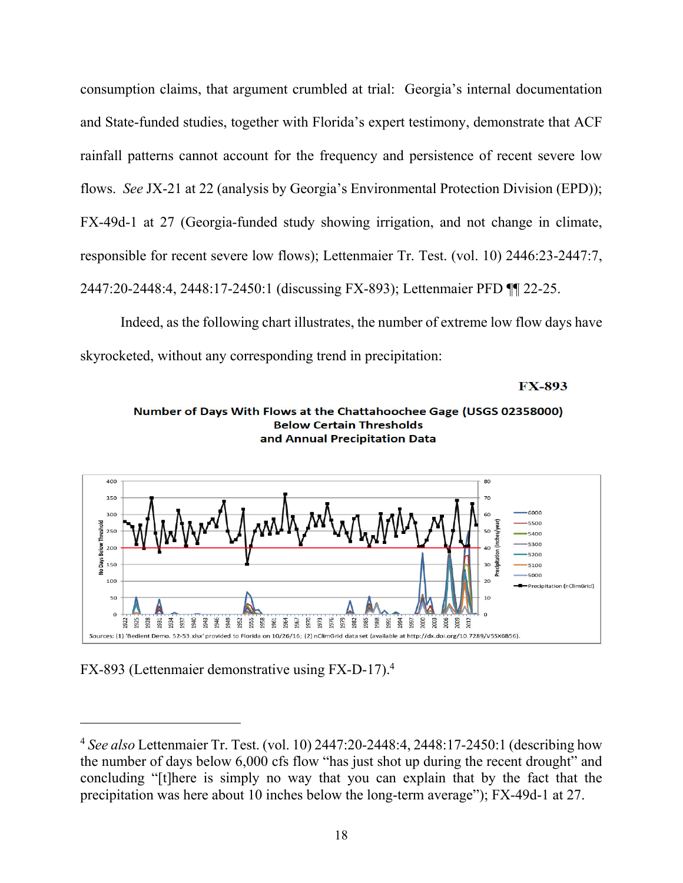consumption claims, that argument crumbled at trial: Georgia's internal documentation and State-funded studies, together with Florida's expert testimony, demonstrate that ACF rainfall patterns cannot account for the frequency and persistence of recent severe low flows. *See* JX-21 at 22 (analysis by Georgia's Environmental Protection Division (EPD)); FX-49d-1 at 27 (Georgia-funded study showing irrigation, and not change in climate, responsible for recent severe low flows); Lettenmaier Tr. Test. (vol. 10) 2446:23-2447:7, 2447:20-2448:4, 2448:17-2450:1 (discussing FX-893); Lettenmaier PFD ¶¶ 22-25.

Indeed, as the following chart illustrates, the number of extreme low flow days have skyrocketed, without any corresponding trend in precipitation:

**FX-893** 





FX-893 (Lettenmaier demonstrative using FX-D-17).4

<sup>4</sup> *See also* Lettenmaier Tr. Test. (vol. 10) 2447:20-2448:4, 2448:17-2450:1 (describing how the number of days below 6,000 cfs flow "has just shot up during the recent drought" and concluding "[t]here is simply no way that you can explain that by the fact that the precipitation was here about 10 inches below the long-term average"); FX-49d-1 at 27.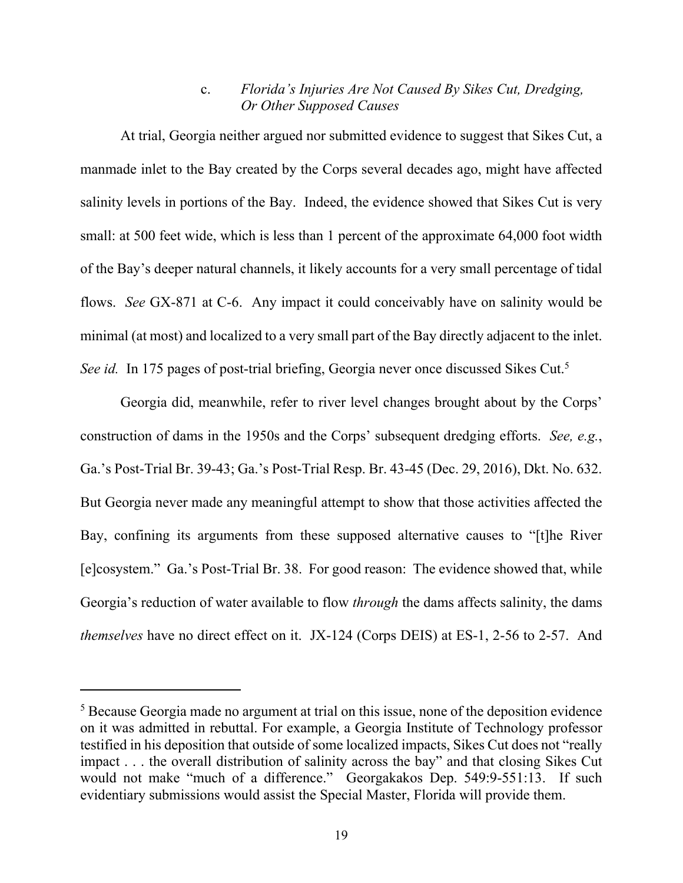### c. *Florida's Injuries Are Not Caused By Sikes Cut, Dredging, Or Other Supposed Causes*

At trial, Georgia neither argued nor submitted evidence to suggest that Sikes Cut, a manmade inlet to the Bay created by the Corps several decades ago, might have affected salinity levels in portions of the Bay. Indeed, the evidence showed that Sikes Cut is very small: at 500 feet wide, which is less than 1 percent of the approximate 64,000 foot width of the Bay's deeper natural channels, it likely accounts for a very small percentage of tidal flows. *See* GX-871 at C-6. Any impact it could conceivably have on salinity would be minimal (at most) and localized to a very small part of the Bay directly adjacent to the inlet. *See id.* In 175 pages of post-trial briefing, Georgia never once discussed Sikes Cut.<sup>5</sup>

Georgia did, meanwhile, refer to river level changes brought about by the Corps' construction of dams in the 1950s and the Corps' subsequent dredging efforts. *See, e.g.*, Ga.'s Post-Trial Br. 39-43; Ga.'s Post-Trial Resp. Br. 43-45 (Dec. 29, 2016), Dkt. No. 632. But Georgia never made any meaningful attempt to show that those activities affected the Bay, confining its arguments from these supposed alternative causes to "[t]he River [e]cosystem." Ga.'s Post-Trial Br. 38. For good reason: The evidence showed that, while Georgia's reduction of water available to flow *through* the dams affects salinity, the dams *themselves* have no direct effect on it. JX-124 (Corps DEIS) at ES-1, 2-56 to 2-57. And

<sup>&</sup>lt;sup>5</sup> Because Georgia made no argument at trial on this issue, none of the deposition evidence on it was admitted in rebuttal. For example, a Georgia Institute of Technology professor testified in his deposition that outside of some localized impacts, Sikes Cut does not "really impact . . . the overall distribution of salinity across the bay" and that closing Sikes Cut would not make "much of a difference." Georgakakos Dep. 549:9-551:13. If such evidentiary submissions would assist the Special Master, Florida will provide them.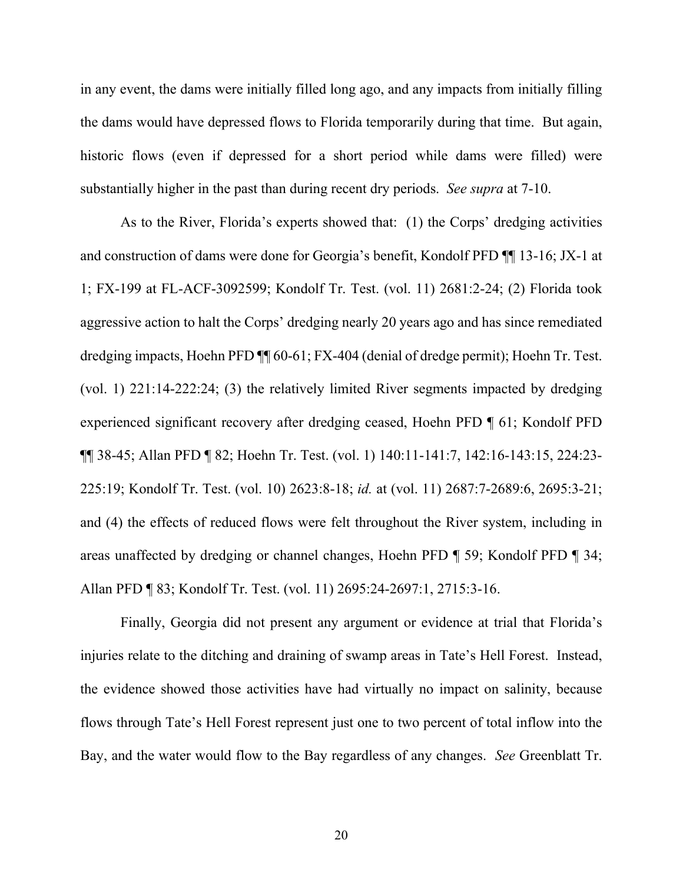in any event, the dams were initially filled long ago, and any impacts from initially filling the dams would have depressed flows to Florida temporarily during that time. But again, historic flows (even if depressed for a short period while dams were filled) were substantially higher in the past than during recent dry periods. *See supra* at 7-10.

As to the River, Florida's experts showed that: (1) the Corps' dredging activities and construction of dams were done for Georgia's benefit, Kondolf PFD ¶¶ 13-16; JX-1 at 1; FX-199 at FL-ACF-3092599; Kondolf Tr. Test. (vol. 11) 2681:2-24; (2) Florida took aggressive action to halt the Corps' dredging nearly 20 years ago and has since remediated dredging impacts, Hoehn PFD ¶¶ 60-61; FX-404 (denial of dredge permit); Hoehn Tr. Test. (vol. 1) 221:14-222:24; (3) the relatively limited River segments impacted by dredging experienced significant recovery after dredging ceased, Hoehn PFD ¶ 61; Kondolf PFD ¶¶ 38-45; Allan PFD ¶ 82; Hoehn Tr. Test. (vol. 1) 140:11-141:7, 142:16-143:15, 224:23- 225:19; Kondolf Tr. Test. (vol. 10) 2623:8-18; *id.* at (vol. 11) 2687:7-2689:6, 2695:3-21; and (4) the effects of reduced flows were felt throughout the River system, including in areas unaffected by dredging or channel changes, Hoehn PFD ¶ 59; Kondolf PFD ¶ 34; Allan PFD ¶ 83; Kondolf Tr. Test. (vol. 11) 2695:24-2697:1, 2715:3-16.

Finally, Georgia did not present any argument or evidence at trial that Florida's injuries relate to the ditching and draining of swamp areas in Tate's Hell Forest. Instead, the evidence showed those activities have had virtually no impact on salinity, because flows through Tate's Hell Forest represent just one to two percent of total inflow into the Bay, and the water would flow to the Bay regardless of any changes. *See* Greenblatt Tr.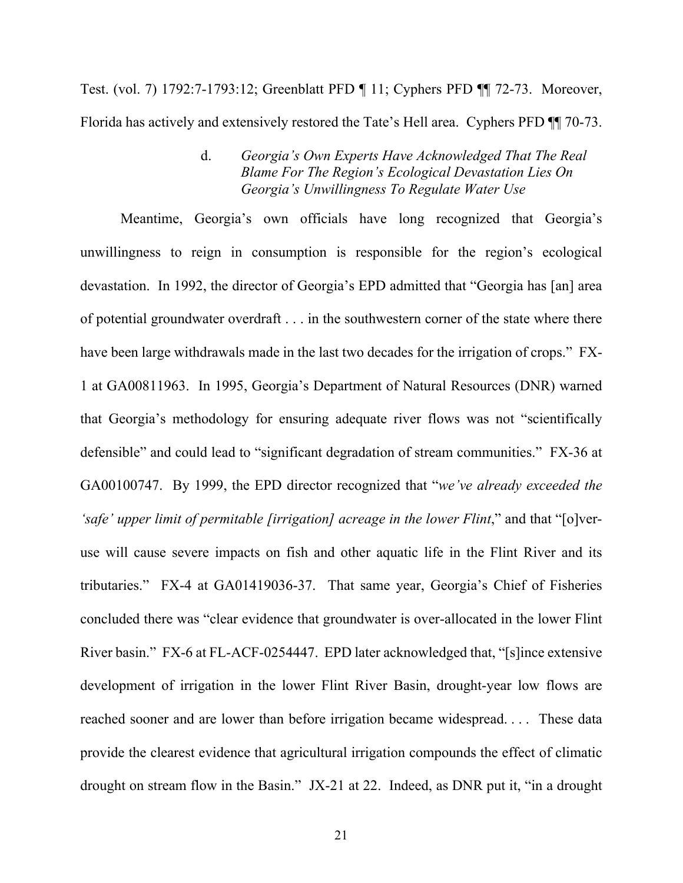Test. (vol. 7) 1792:7-1793:12; Greenblatt PFD ¶ 11; Cyphers PFD ¶¶ 72-73. Moreover, Florida has actively and extensively restored the Tate's Hell area. Cyphers PFD ¶¶ 70-73.

## d. *Georgia's Own Experts Have Acknowledged That The Real Blame For The Region's Ecological Devastation Lies On Georgia's Unwillingness To Regulate Water Use*

Meantime, Georgia's own officials have long recognized that Georgia's unwillingness to reign in consumption is responsible for the region's ecological devastation. In 1992, the director of Georgia's EPD admitted that "Georgia has [an] area of potential groundwater overdraft . . . in the southwestern corner of the state where there have been large withdrawals made in the last two decades for the irrigation of crops." FX-1 at GA00811963. In 1995, Georgia's Department of Natural Resources (DNR) warned that Georgia's methodology for ensuring adequate river flows was not "scientifically defensible" and could lead to "significant degradation of stream communities." FX-36 at GA00100747. By 1999, the EPD director recognized that "*we've already exceeded the 'safe' upper limit of permitable [irrigation] acreage in the lower Flint*," and that "[o]veruse will cause severe impacts on fish and other aquatic life in the Flint River and its tributaries." FX-4 at GA01419036-37. That same year, Georgia's Chief of Fisheries concluded there was "clear evidence that groundwater is over-allocated in the lower Flint River basin." FX-6 at FL-ACF-0254447. EPD later acknowledged that, "[s]ince extensive development of irrigation in the lower Flint River Basin, drought-year low flows are reached sooner and are lower than before irrigation became widespread. . . . These data provide the clearest evidence that agricultural irrigation compounds the effect of climatic drought on stream flow in the Basin." JX-21 at 22. Indeed, as DNR put it, "in a drought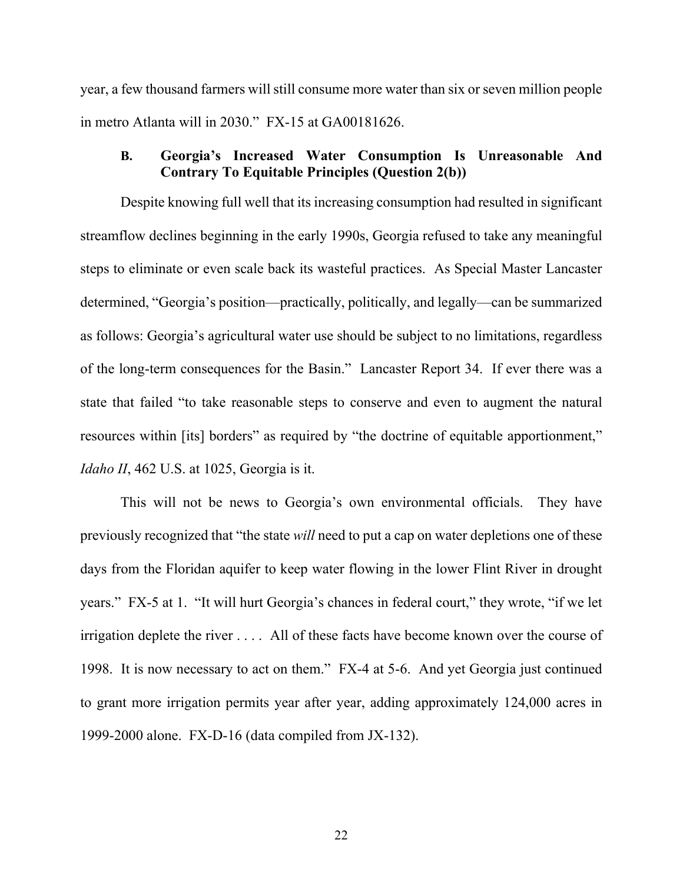year, a few thousand farmers will still consume more water than six or seven million people in metro Atlanta will in 2030." FX-15 at GA00181626.

## **B. Georgia's Increased Water Consumption Is Unreasonable And Contrary To Equitable Principles (Question 2(b))**

Despite knowing full well that its increasing consumption had resulted in significant streamflow declines beginning in the early 1990s, Georgia refused to take any meaningful steps to eliminate or even scale back its wasteful practices. As Special Master Lancaster determined, "Georgia's position—practically, politically, and legally—can be summarized as follows: Georgia's agricultural water use should be subject to no limitations, regardless of the long-term consequences for the Basin." Lancaster Report 34. If ever there was a state that failed "to take reasonable steps to conserve and even to augment the natural resources within [its] borders" as required by "the doctrine of equitable apportionment," *Idaho II*, 462 U.S. at 1025, Georgia is it.

This will not be news to Georgia's own environmental officials. They have previously recognized that "the state *will* need to put a cap on water depletions one of these days from the Floridan aquifer to keep water flowing in the lower Flint River in drought years." FX-5 at 1. "It will hurt Georgia's chances in federal court," they wrote, "if we let irrigation deplete the river . . . . All of these facts have become known over the course of 1998. It is now necessary to act on them." FX-4 at 5-6. And yet Georgia just continued to grant more irrigation permits year after year, adding approximately 124,000 acres in 1999-2000 alone. FX-D-16 (data compiled from JX-132).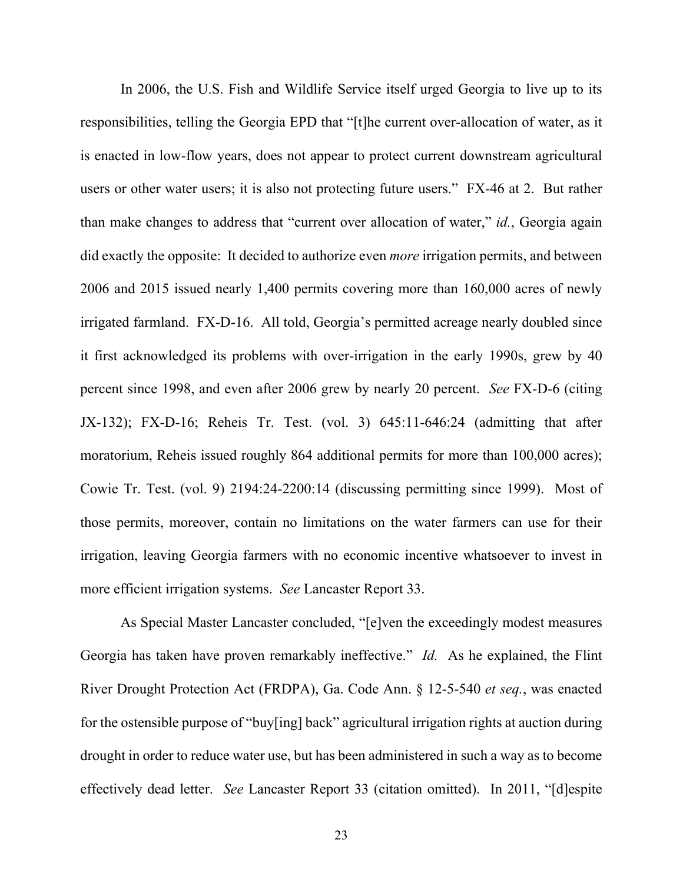In 2006, the U.S. Fish and Wildlife Service itself urged Georgia to live up to its responsibilities, telling the Georgia EPD that "[t]he current over-allocation of water, as it is enacted in low-flow years, does not appear to protect current downstream agricultural users or other water users; it is also not protecting future users." FX-46 at 2. But rather than make changes to address that "current over allocation of water," *id.*, Georgia again did exactly the opposite: It decided to authorize even *more* irrigation permits, and between 2006 and 2015 issued nearly 1,400 permits covering more than 160,000 acres of newly irrigated farmland. FX-D-16. All told, Georgia's permitted acreage nearly doubled since it first acknowledged its problems with over-irrigation in the early 1990s, grew by 40 percent since 1998, and even after 2006 grew by nearly 20 percent. *See* FX-D-6 (citing JX-132); FX-D-16; Reheis Tr. Test. (vol. 3) 645:11-646:24 (admitting that after moratorium, Reheis issued roughly 864 additional permits for more than 100,000 acres); Cowie Tr. Test. (vol. 9) 2194:24-2200:14 (discussing permitting since 1999). Most of those permits, moreover, contain no limitations on the water farmers can use for their irrigation, leaving Georgia farmers with no economic incentive whatsoever to invest in more efficient irrigation systems. *See* Lancaster Report 33.

As Special Master Lancaster concluded, "[e]ven the exceedingly modest measures Georgia has taken have proven remarkably ineffective." *Id.* As he explained, the Flint River Drought Protection Act (FRDPA), Ga. Code Ann. § 12-5-540 *et seq.*, was enacted for the ostensible purpose of "buy[ing] back" agricultural irrigation rights at auction during drought in order to reduce water use, but has been administered in such a way as to become effectively dead letter. *See* Lancaster Report 33 (citation omitted). In 2011, "[d]espite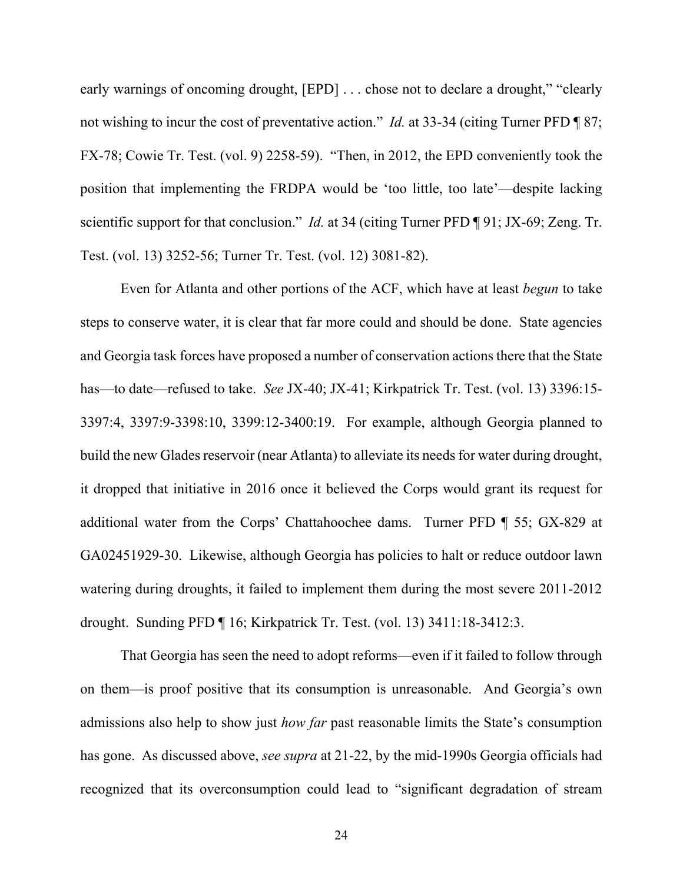early warnings of oncoming drought, [EPD] ... chose not to declare a drought," "clearly not wishing to incur the cost of preventative action." *Id.* at 33-34 (citing Turner PFD ¶ 87; FX-78; Cowie Tr. Test. (vol. 9) 2258-59). "Then, in 2012, the EPD conveniently took the position that implementing the FRDPA would be 'too little, too late'—despite lacking scientific support for that conclusion." *Id.* at 34 (citing Turner PFD ¶ 91; JX-69; Zeng. Tr. Test. (vol. 13) 3252-56; Turner Tr. Test. (vol. 12) 3081-82).

Even for Atlanta and other portions of the ACF, which have at least *begun* to take steps to conserve water, it is clear that far more could and should be done. State agencies and Georgia task forces have proposed a number of conservation actions there that the State has—to date—refused to take. *See* JX-40; JX-41; Kirkpatrick Tr. Test. (vol. 13) 3396:15- 3397:4, 3397:9-3398:10, 3399:12-3400:19. For example, although Georgia planned to build the new Glades reservoir (near Atlanta) to alleviate its needs for water during drought, it dropped that initiative in 2016 once it believed the Corps would grant its request for additional water from the Corps' Chattahoochee dams. Turner PFD ¶ 55; GX-829 at GA02451929-30. Likewise, although Georgia has policies to halt or reduce outdoor lawn watering during droughts, it failed to implement them during the most severe 2011-2012 drought. Sunding PFD ¶ 16; Kirkpatrick Tr. Test. (vol. 13) 3411:18-3412:3.

That Georgia has seen the need to adopt reforms—even if it failed to follow through on them—is proof positive that its consumption is unreasonable. And Georgia's own admissions also help to show just *how far* past reasonable limits the State's consumption has gone. As discussed above, *see supra* at 21-22, by the mid-1990s Georgia officials had recognized that its overconsumption could lead to "significant degradation of stream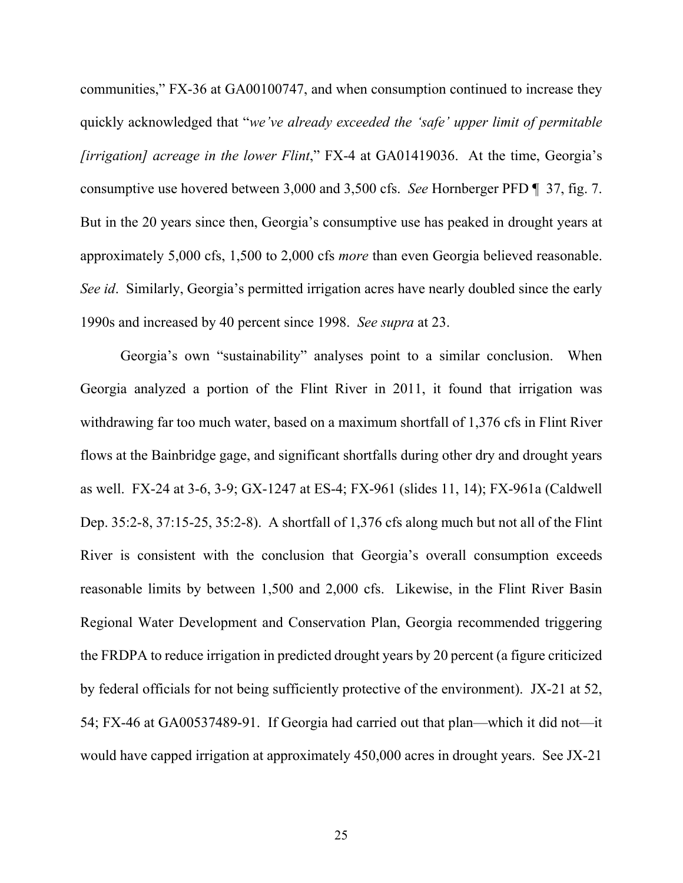communities," FX-36 at GA00100747, and when consumption continued to increase they quickly acknowledged that "*we've already exceeded the 'safe' upper limit of permitable [irrigation] acreage in the lower Flint*," FX-4 at GA01419036. At the time, Georgia's consumptive use hovered between 3,000 and 3,500 cfs. *See* Hornberger PFD ¶ 37, fig. 7. But in the 20 years since then, Georgia's consumptive use has peaked in drought years at approximately 5,000 cfs, 1,500 to 2,000 cfs *more* than even Georgia believed reasonable. *See id*. Similarly, Georgia's permitted irrigation acres have nearly doubled since the early 1990s and increased by 40 percent since 1998. *See supra* at 23.

Georgia's own "sustainability" analyses point to a similar conclusion. When Georgia analyzed a portion of the Flint River in 2011, it found that irrigation was withdrawing far too much water, based on a maximum shortfall of 1,376 cfs in Flint River flows at the Bainbridge gage, and significant shortfalls during other dry and drought years as well. FX-24 at 3-6, 3-9; GX-1247 at ES-4; FX-961 (slides 11, 14); FX-961a (Caldwell Dep. 35:2-8, 37:15-25, 35:2-8). A shortfall of 1,376 cfs along much but not all of the Flint River is consistent with the conclusion that Georgia's overall consumption exceeds reasonable limits by between 1,500 and 2,000 cfs. Likewise, in the Flint River Basin Regional Water Development and Conservation Plan, Georgia recommended triggering the FRDPA to reduce irrigation in predicted drought years by 20 percent (a figure criticized by federal officials for not being sufficiently protective of the environment). JX-21 at 52, 54; FX-46 at GA00537489-91. If Georgia had carried out that plan—which it did not—it would have capped irrigation at approximately 450,000 acres in drought years. See JX-21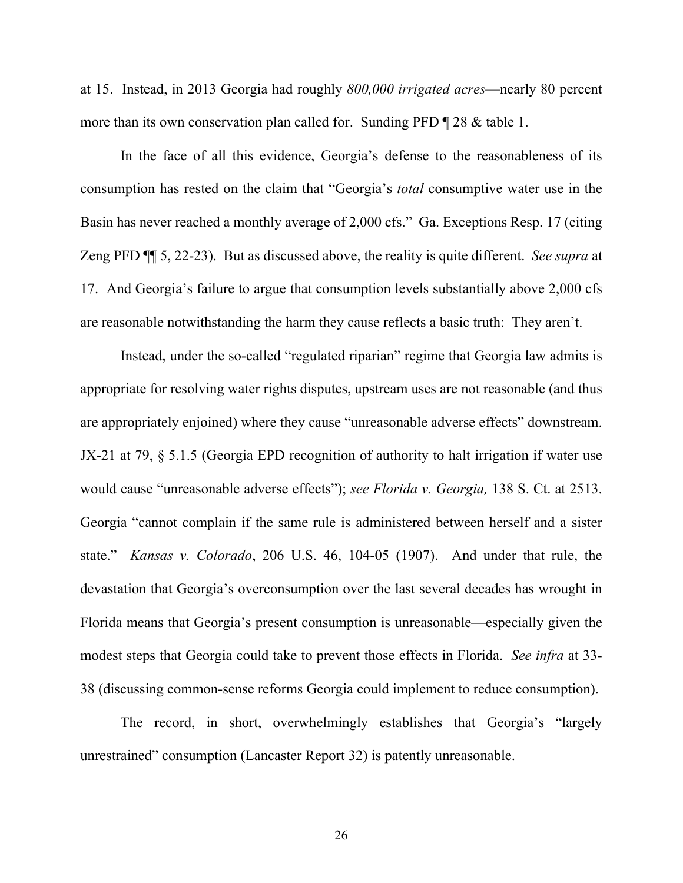at 15. Instead, in 2013 Georgia had roughly *800,000 irrigated acres*—nearly 80 percent more than its own conservation plan called for. Sunding PFD 128 & table 1.

In the face of all this evidence, Georgia's defense to the reasonableness of its consumption has rested on the claim that "Georgia's *total* consumptive water use in the Basin has never reached a monthly average of 2,000 cfs." Ga. Exceptions Resp. 17 (citing Zeng PFD ¶¶ 5, 22-23). But as discussed above, the reality is quite different. *See supra* at 17. And Georgia's failure to argue that consumption levels substantially above 2,000 cfs are reasonable notwithstanding the harm they cause reflects a basic truth: They aren't.

Instead, under the so-called "regulated riparian" regime that Georgia law admits is appropriate for resolving water rights disputes, upstream uses are not reasonable (and thus are appropriately enjoined) where they cause "unreasonable adverse effects" downstream. JX-21 at 79, § 5.1.5 (Georgia EPD recognition of authority to halt irrigation if water use would cause "unreasonable adverse effects"); *see Florida v. Georgia,* 138 S. Ct. at 2513. Georgia "cannot complain if the same rule is administered between herself and a sister state." *Kansas v. Colorado*, 206 U.S. 46, 104-05 (1907). And under that rule, the devastation that Georgia's overconsumption over the last several decades has wrought in Florida means that Georgia's present consumption is unreasonable—especially given the modest steps that Georgia could take to prevent those effects in Florida. *See infra* at 33- 38 (discussing common-sense reforms Georgia could implement to reduce consumption).

The record, in short, overwhelmingly establishes that Georgia's "largely unrestrained" consumption (Lancaster Report 32) is patently unreasonable.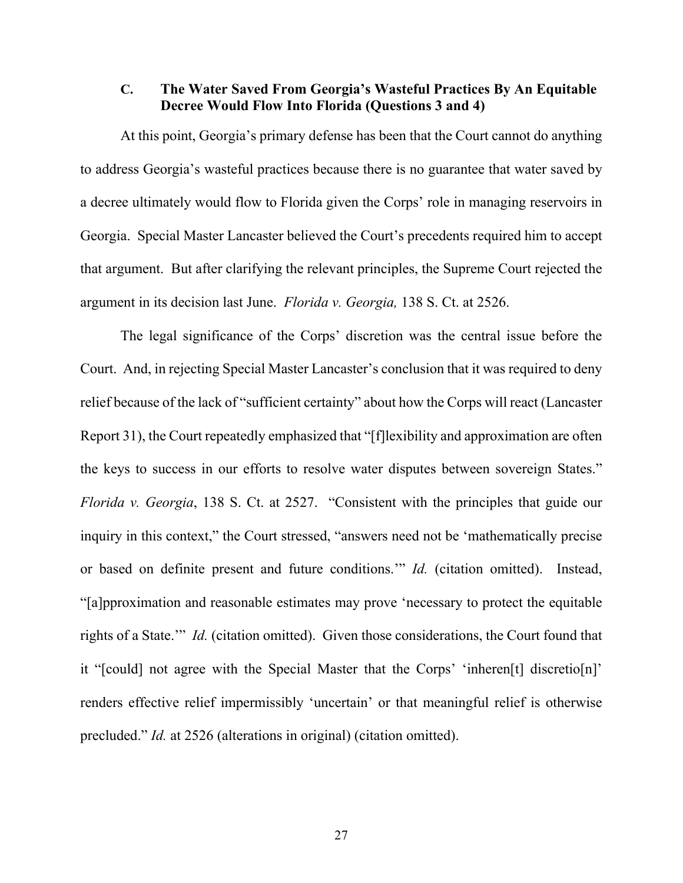#### **C. The Water Saved From Georgia's Wasteful Practices By An Equitable Decree Would Flow Into Florida (Questions 3 and 4)**

At this point, Georgia's primary defense has been that the Court cannot do anything to address Georgia's wasteful practices because there is no guarantee that water saved by a decree ultimately would flow to Florida given the Corps' role in managing reservoirs in Georgia. Special Master Lancaster believed the Court's precedents required him to accept that argument. But after clarifying the relevant principles, the Supreme Court rejected the argument in its decision last June. *Florida v. Georgia,* 138 S. Ct. at 2526.

The legal significance of the Corps' discretion was the central issue before the Court. And, in rejecting Special Master Lancaster's conclusion that it was required to deny relief because of the lack of "sufficient certainty" about how the Corps will react (Lancaster Report 31), the Court repeatedly emphasized that "[f]lexibility and approximation are often the keys to success in our efforts to resolve water disputes between sovereign States." *Florida v. Georgia*, 138 S. Ct. at 2527. "Consistent with the principles that guide our inquiry in this context," the Court stressed, "answers need not be 'mathematically precise or based on definite present and future conditions.'" *Id.* (citation omitted). Instead, "[a]pproximation and reasonable estimates may prove 'necessary to protect the equitable rights of a State.'" *Id.* (citation omitted). Given those considerations, the Court found that it "[could] not agree with the Special Master that the Corps' 'inheren[t] discretio[n]' renders effective relief impermissibly 'uncertain' or that meaningful relief is otherwise precluded." *Id.* at 2526 (alterations in original) (citation omitted).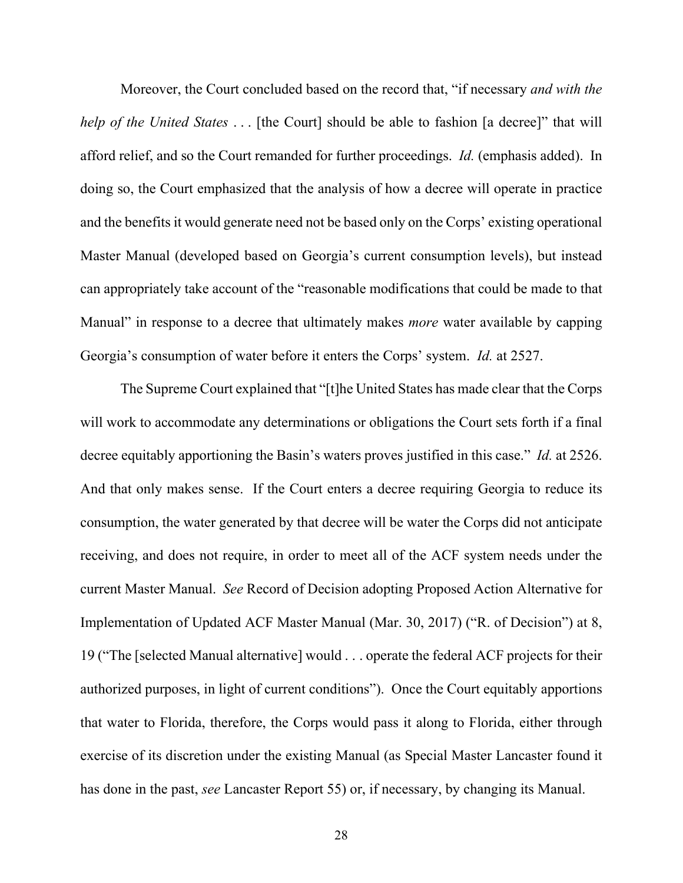Moreover, the Court concluded based on the record that, "if necessary *and with the help of the United States* . . . [the Court] should be able to fashion [a decree]" that will afford relief, and so the Court remanded for further proceedings. *Id.* (emphasis added). In doing so, the Court emphasized that the analysis of how a decree will operate in practice and the benefits it would generate need not be based only on the Corps' existing operational Master Manual (developed based on Georgia's current consumption levels), but instead can appropriately take account of the "reasonable modifications that could be made to that Manual" in response to a decree that ultimately makes *more* water available by capping Georgia's consumption of water before it enters the Corps' system. *Id.* at 2527.

The Supreme Court explained that "[t]he United States has made clear that the Corps will work to accommodate any determinations or obligations the Court sets forth if a final decree equitably apportioning the Basin's waters proves justified in this case." *Id.* at 2526. And that only makes sense. If the Court enters a decree requiring Georgia to reduce its consumption, the water generated by that decree will be water the Corps did not anticipate receiving, and does not require, in order to meet all of the ACF system needs under the current Master Manual. *See* Record of Decision adopting Proposed Action Alternative for Implementation of Updated ACF Master Manual (Mar. 30, 2017) ("R. of Decision") at 8, 19 ("The [selected Manual alternative] would . . . operate the federal ACF projects for their authorized purposes, in light of current conditions"). Once the Court equitably apportions that water to Florida, therefore, the Corps would pass it along to Florida, either through exercise of its discretion under the existing Manual (as Special Master Lancaster found it has done in the past, *see* Lancaster Report 55) or, if necessary, by changing its Manual.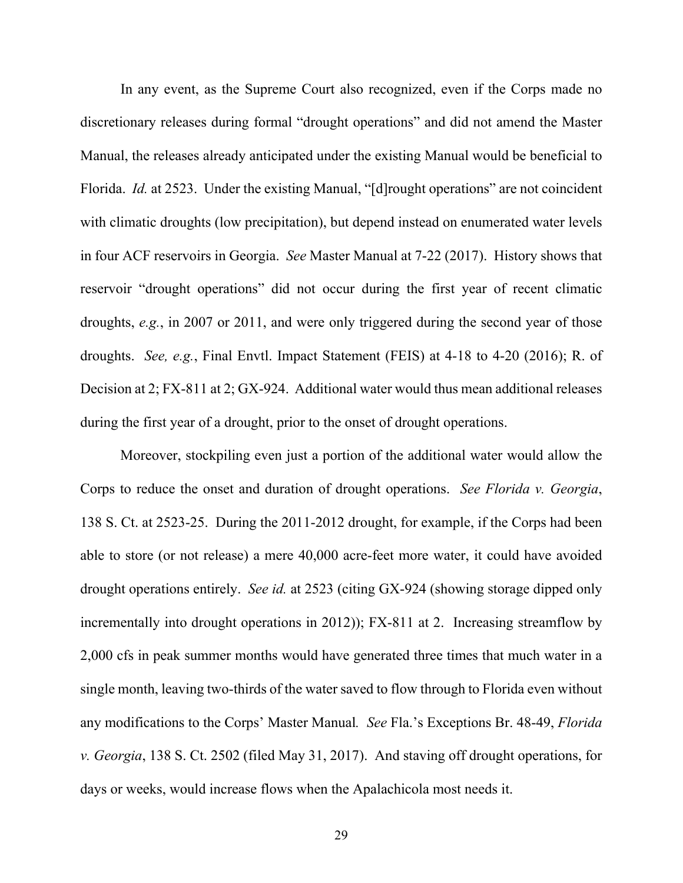In any event, as the Supreme Court also recognized, even if the Corps made no discretionary releases during formal "drought operations" and did not amend the Master Manual, the releases already anticipated under the existing Manual would be beneficial to Florida. *Id.* at 2523. Under the existing Manual, "[d]rought operations" are not coincident with climatic droughts (low precipitation), but depend instead on enumerated water levels in four ACF reservoirs in Georgia. *See* Master Manual at 7-22 (2017). History shows that reservoir "drought operations" did not occur during the first year of recent climatic droughts, *e.g.*, in 2007 or 2011, and were only triggered during the second year of those droughts. *See, e.g.*, Final Envtl. Impact Statement (FEIS) at 4-18 to 4-20 (2016); R. of Decision at 2; FX-811 at 2; GX-924. Additional water would thus mean additional releases during the first year of a drought, prior to the onset of drought operations.

Moreover, stockpiling even just a portion of the additional water would allow the Corps to reduce the onset and duration of drought operations. *See Florida v. Georgia*, 138 S. Ct. at 2523-25. During the 2011-2012 drought, for example, if the Corps had been able to store (or not release) a mere 40,000 acre-feet more water, it could have avoided drought operations entirely. *See id.* at 2523 (citing GX-924 (showing storage dipped only incrementally into drought operations in 2012)); FX-811 at 2. Increasing streamflow by 2,000 cfs in peak summer months would have generated three times that much water in a single month, leaving two-thirds of the water saved to flow through to Florida even without any modifications to the Corps' Master Manual*. See* Fla.'s Exceptions Br. 48-49, *Florida v. Georgia*, 138 S. Ct. 2502 (filed May 31, 2017). And staving off drought operations, for days or weeks, would increase flows when the Apalachicola most needs it.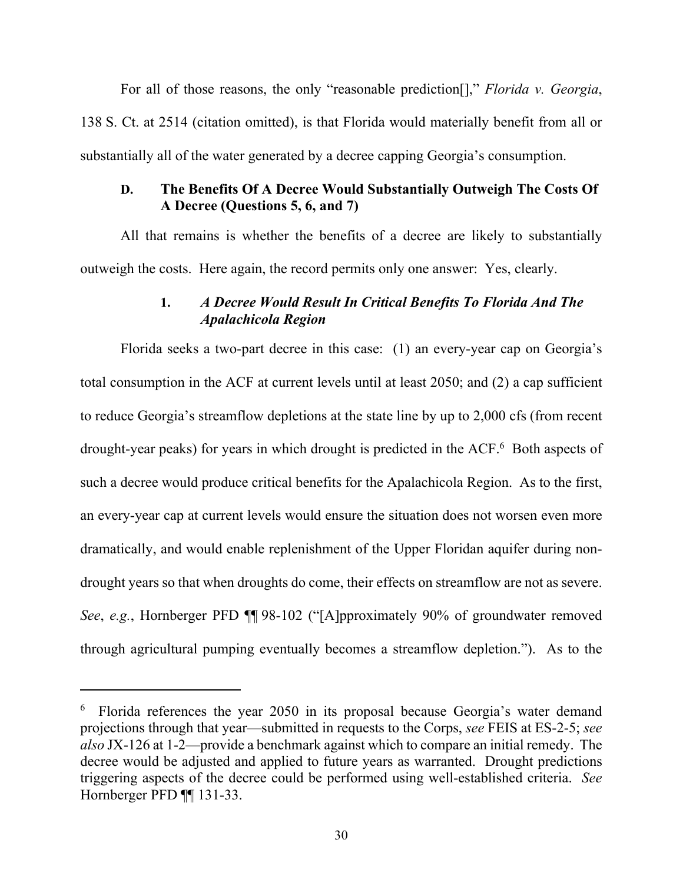For all of those reasons, the only "reasonable prediction[]," *Florida v. Georgia*, 138 S. Ct. at 2514 (citation omitted), is that Florida would materially benefit from all or substantially all of the water generated by a decree capping Georgia's consumption.

## **D. The Benefits Of A Decree Would Substantially Outweigh The Costs Of A Decree (Questions 5, 6, and 7)**

All that remains is whether the benefits of a decree are likely to substantially outweigh the costs. Here again, the record permits only one answer: Yes, clearly.

## **1.** *A Decree Would Result In Critical Benefits To Florida And The Apalachicola Region*

Florida seeks a two-part decree in this case: (1) an every-year cap on Georgia's total consumption in the ACF at current levels until at least 2050; and (2) a cap sufficient to reduce Georgia's streamflow depletions at the state line by up to 2,000 cfs (from recent drought-year peaks) for years in which drought is predicted in the ACF.<sup>6</sup> Both aspects of such a decree would produce critical benefits for the Apalachicola Region. As to the first, an every-year cap at current levels would ensure the situation does not worsen even more dramatically, and would enable replenishment of the Upper Floridan aquifer during nondrought years so that when droughts do come, their effects on streamflow are not as severe. *See*, *e.g.*, Hornberger PFD ¶¶ 98-102 ("[A]pproximately 90% of groundwater removed through agricultural pumping eventually becomes a streamflow depletion."). As to the

<sup>&</sup>lt;sup>6</sup> Florida references the year 2050 in its proposal because Georgia's water demand projections through that year—submitted in requests to the Corps, *see* FEIS at ES-2-5; *see also* JX-126 at 1-2—provide a benchmark against which to compare an initial remedy. The decree would be adjusted and applied to future years as warranted. Drought predictions triggering aspects of the decree could be performed using well-established criteria. *See*  Hornberger PFD ¶¶ 131-33.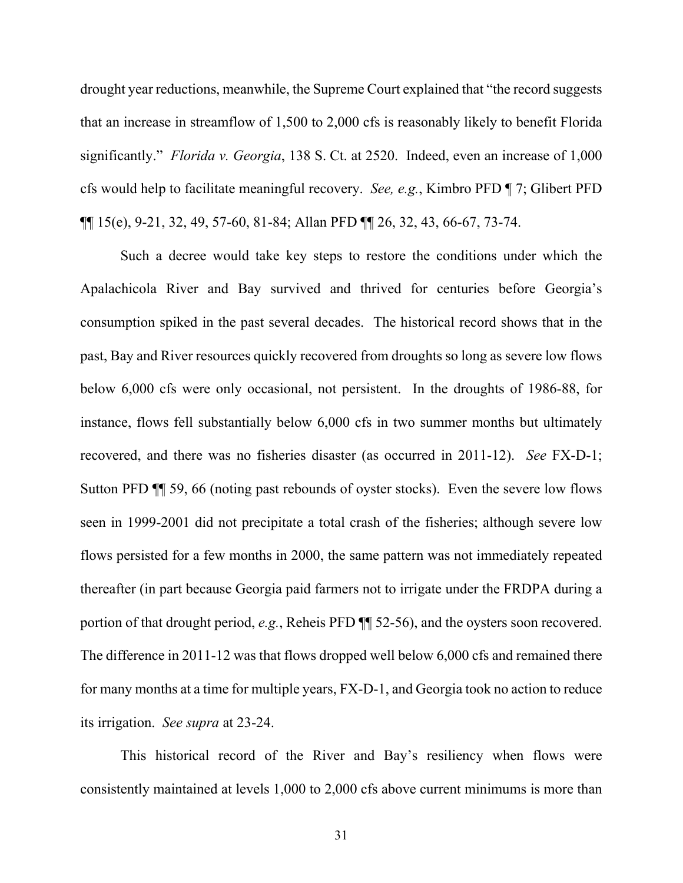drought year reductions, meanwhile, the Supreme Court explained that "the record suggests that an increase in streamflow of 1,500 to 2,000 cfs is reasonably likely to benefit Florida significantly." *Florida v. Georgia*, 138 S. Ct. at 2520. Indeed, even an increase of 1,000 cfs would help to facilitate meaningful recovery. *See, e.g.*, Kimbro PFD ¶ 7; Glibert PFD ¶¶ 15(e), 9-21, 32, 49, 57-60, 81-84; Allan PFD ¶¶ 26, 32, 43, 66-67, 73-74.

Such a decree would take key steps to restore the conditions under which the Apalachicola River and Bay survived and thrived for centuries before Georgia's consumption spiked in the past several decades. The historical record shows that in the past, Bay and River resources quickly recovered from droughts so long as severe low flows below 6,000 cfs were only occasional, not persistent. In the droughts of 1986-88, for instance, flows fell substantially below 6,000 cfs in two summer months but ultimately recovered, and there was no fisheries disaster (as occurred in 2011-12). *See* FX-D-1; Sutton PFD ¶¶ 59, 66 (noting past rebounds of oyster stocks). Even the severe low flows seen in 1999-2001 did not precipitate a total crash of the fisheries; although severe low flows persisted for a few months in 2000, the same pattern was not immediately repeated thereafter (in part because Georgia paid farmers not to irrigate under the FRDPA during a portion of that drought period, *e.g.*, Reheis PFD ¶¶ 52-56), and the oysters soon recovered. The difference in 2011-12 was that flows dropped well below 6,000 cfs and remained there for many months at a time for multiple years, FX-D-1, and Georgia took no action to reduce its irrigation. *See supra* at 23-24.

This historical record of the River and Bay's resiliency when flows were consistently maintained at levels 1,000 to 2,000 cfs above current minimums is more than

31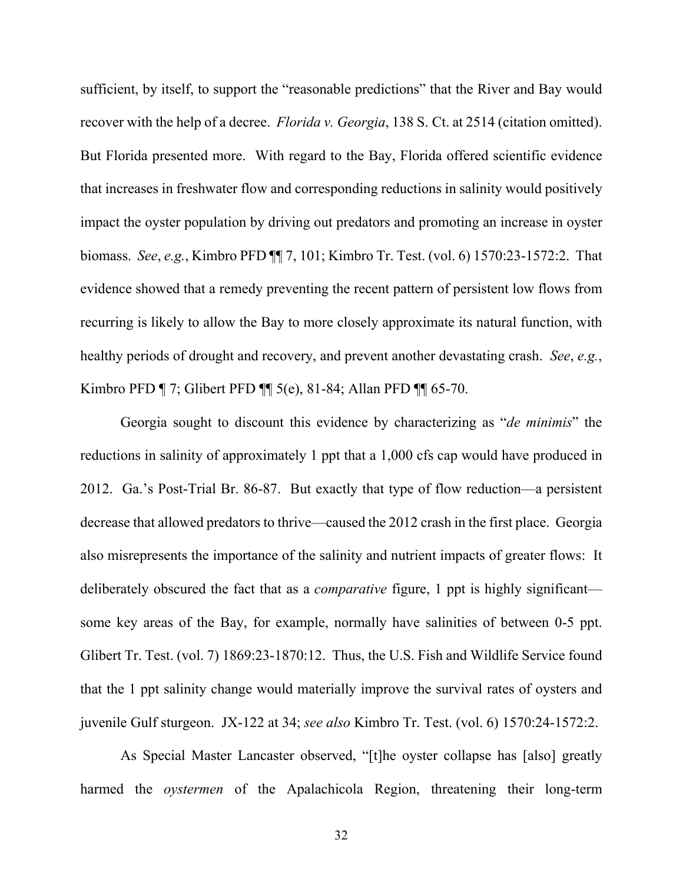sufficient, by itself, to support the "reasonable predictions" that the River and Bay would recover with the help of a decree. *Florida v. Georgia*, 138 S. Ct. at 2514 (citation omitted). But Florida presented more. With regard to the Bay, Florida offered scientific evidence that increases in freshwater flow and corresponding reductions in salinity would positively impact the oyster population by driving out predators and promoting an increase in oyster biomass. *See*, *e.g.*, Kimbro PFD ¶¶ 7, 101; Kimbro Tr. Test. (vol. 6) 1570:23-1572:2. That evidence showed that a remedy preventing the recent pattern of persistent low flows from recurring is likely to allow the Bay to more closely approximate its natural function, with healthy periods of drought and recovery, and prevent another devastating crash. *See*, *e.g.*, Kimbro PFD ¶ 7; Glibert PFD ¶¶ 5(e), 81-84; Allan PFD ¶¶ 65-70.

Georgia sought to discount this evidence by characterizing as "*de minimis*" the reductions in salinity of approximately 1 ppt that a 1,000 cfs cap would have produced in 2012. Ga.'s Post-Trial Br. 86-87. But exactly that type of flow reduction—a persistent decrease that allowed predators to thrive—caused the 2012 crash in the first place. Georgia also misrepresents the importance of the salinity and nutrient impacts of greater flows: It deliberately obscured the fact that as a *comparative* figure, 1 ppt is highly significant some key areas of the Bay, for example, normally have salinities of between 0-5 ppt. Glibert Tr. Test. (vol. 7) 1869:23-1870:12. Thus, the U.S. Fish and Wildlife Service found that the 1 ppt salinity change would materially improve the survival rates of oysters and juvenile Gulf sturgeon. JX-122 at 34; *see also* Kimbro Tr. Test. (vol. 6) 1570:24-1572:2.

As Special Master Lancaster observed, "[t]he oyster collapse has [also] greatly harmed the *oystermen* of the Apalachicola Region, threatening their long-term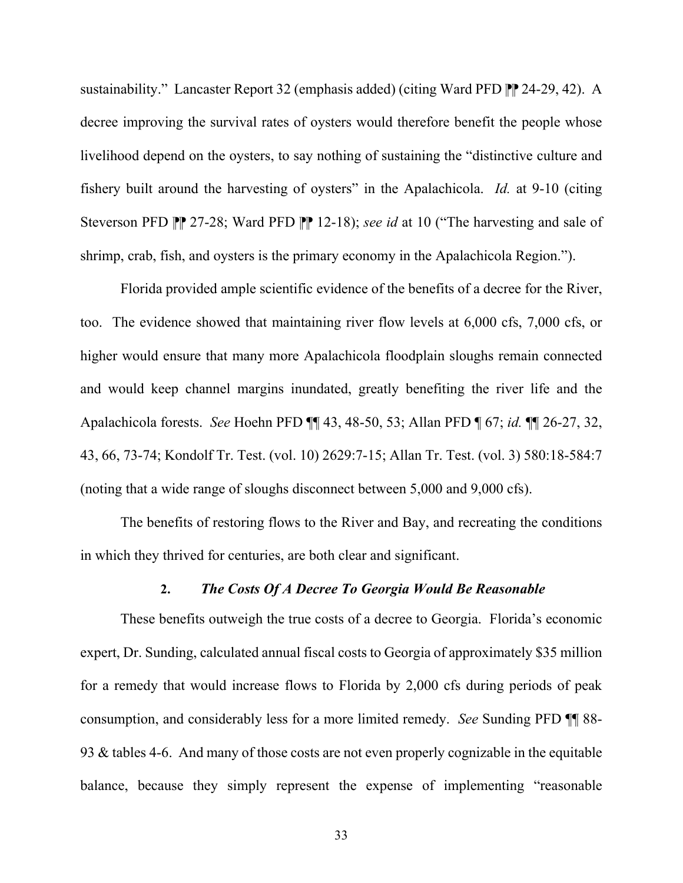sustainability." Lancaster Report 32 (emphasis added) (citing Ward PFD  $\mathbb{P}$  24-29, 42). A decree improving the survival rates of oysters would therefore benefit the people whose livelihood depend on the oysters, to say nothing of sustaining the "distinctive culture and fishery built around the harvesting of oysters" in the Apalachicola. *Id.* at 9-10 (citing Steverson PFD PP 27-28; Ward PFD PP 12-18); *see id* at 10 ("The harvesting and sale of shrimp, crab, fish, and oysters is the primary economy in the Apalachicola Region.").

Florida provided ample scientific evidence of the benefits of a decree for the River, too. The evidence showed that maintaining river flow levels at 6,000 cfs, 7,000 cfs, or higher would ensure that many more Apalachicola floodplain sloughs remain connected and would keep channel margins inundated, greatly benefiting the river life and the Apalachicola forests. *See* Hoehn PFD ¶¶ 43, 48-50, 53; Allan PFD ¶ 67; *id.* ¶¶ 26-27, 32, 43, 66, 73-74; Kondolf Tr. Test. (vol. 10) 2629:7-15; Allan Tr. Test. (vol. 3) 580:18-584:7 (noting that a wide range of sloughs disconnect between 5,000 and 9,000 cfs).

The benefits of restoring flows to the River and Bay, and recreating the conditions in which they thrived for centuries, are both clear and significant.

#### **2.** *The Costs Of A Decree To Georgia Would Be Reasonable*

These benefits outweigh the true costs of a decree to Georgia. Florida's economic expert, Dr. Sunding, calculated annual fiscal costs to Georgia of approximately \$35 million for a remedy that would increase flows to Florida by 2,000 cfs during periods of peak consumption, and considerably less for a more limited remedy. *See* Sunding PFD ¶¶ 88- 93 & tables 4-6. And many of those costs are not even properly cognizable in the equitable balance, because they simply represent the expense of implementing "reasonable

33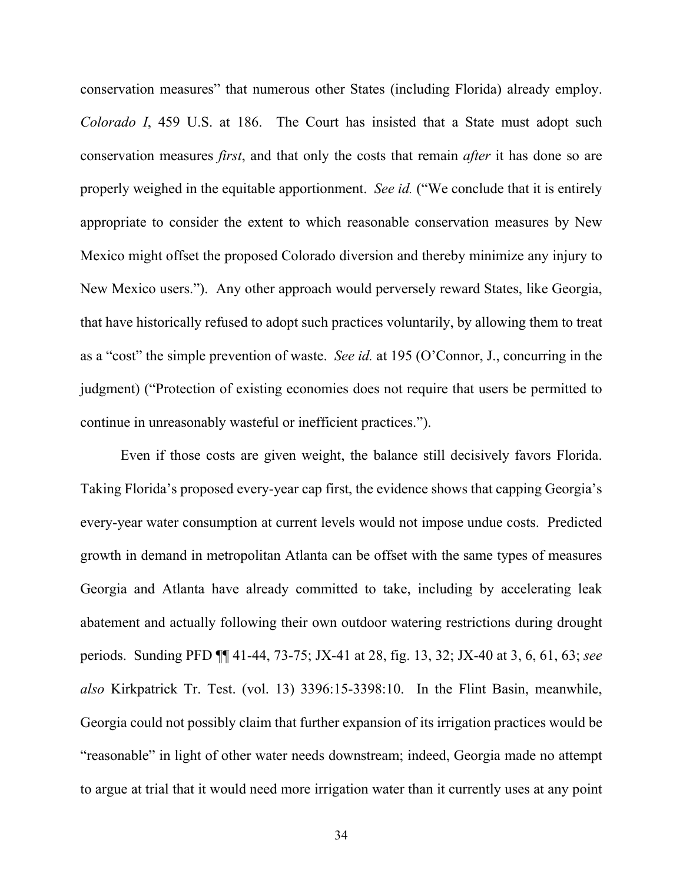conservation measures" that numerous other States (including Florida) already employ. *Colorado I*, 459 U.S. at 186. The Court has insisted that a State must adopt such conservation measures *first*, and that only the costs that remain *after* it has done so are properly weighed in the equitable apportionment. *See id.* ("We conclude that it is entirely appropriate to consider the extent to which reasonable conservation measures by New Mexico might offset the proposed Colorado diversion and thereby minimize any injury to New Mexico users."). Any other approach would perversely reward States, like Georgia, that have historically refused to adopt such practices voluntarily, by allowing them to treat as a "cost" the simple prevention of waste. *See id.* at 195 (O'Connor, J., concurring in the judgment) ("Protection of existing economies does not require that users be permitted to continue in unreasonably wasteful or inefficient practices.").

Even if those costs are given weight, the balance still decisively favors Florida. Taking Florida's proposed every-year cap first, the evidence shows that capping Georgia's every-year water consumption at current levels would not impose undue costs. Predicted growth in demand in metropolitan Atlanta can be offset with the same types of measures Georgia and Atlanta have already committed to take, including by accelerating leak abatement and actually following their own outdoor watering restrictions during drought periods. Sunding PFD ¶¶ 41-44, 73-75; JX-41 at 28, fig. 13, 32; JX-40 at 3, 6, 61, 63; *see also* Kirkpatrick Tr. Test. (vol. 13) 3396:15-3398:10. In the Flint Basin, meanwhile, Georgia could not possibly claim that further expansion of its irrigation practices would be "reasonable" in light of other water needs downstream; indeed, Georgia made no attempt to argue at trial that it would need more irrigation water than it currently uses at any point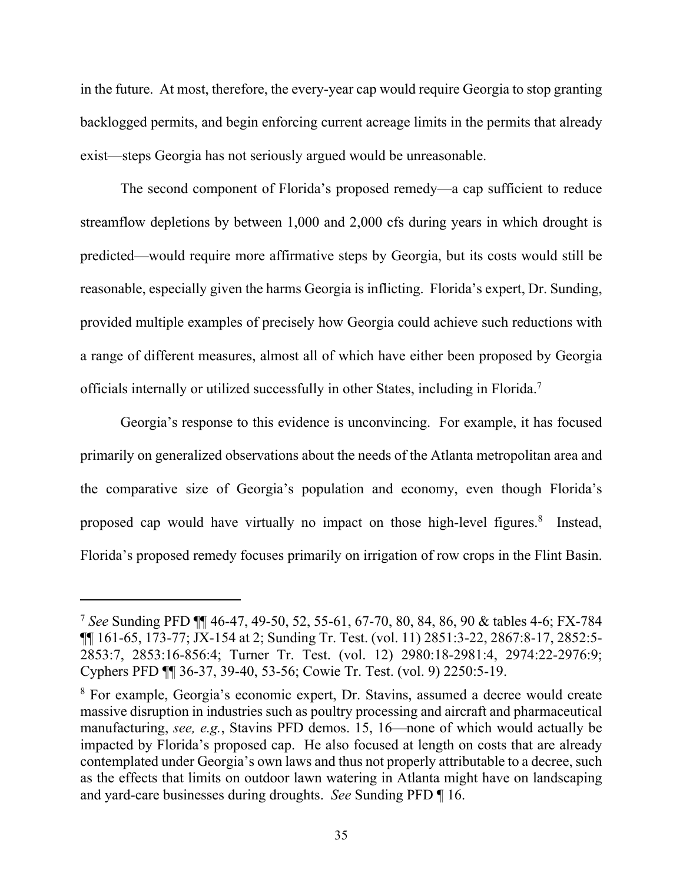in the future. At most, therefore, the every-year cap would require Georgia to stop granting backlogged permits, and begin enforcing current acreage limits in the permits that already exist—steps Georgia has not seriously argued would be unreasonable.

The second component of Florida's proposed remedy—a cap sufficient to reduce streamflow depletions by between 1,000 and 2,000 cfs during years in which drought is predicted—would require more affirmative steps by Georgia, but its costs would still be reasonable, especially given the harms Georgia is inflicting. Florida's expert, Dr. Sunding, provided multiple examples of precisely how Georgia could achieve such reductions with a range of different measures, almost all of which have either been proposed by Georgia officials internally or utilized successfully in other States, including in Florida.7

Georgia's response to this evidence is unconvincing. For example, it has focused primarily on generalized observations about the needs of the Atlanta metropolitan area and the comparative size of Georgia's population and economy, even though Florida's proposed cap would have virtually no impact on those high-level figures.<sup>8</sup> Instead, Florida's proposed remedy focuses primarily on irrigation of row crops in the Flint Basin.

<sup>7</sup> *See* Sunding PFD ¶¶ 46-47, 49-50, 52, 55-61, 67-70, 80, 84, 86, 90 & tables 4-6; FX-784 ¶¶ 161-65, 173-77; JX-154 at 2; Sunding Tr. Test. (vol. 11) 2851:3-22, 2867:8-17, 2852:5- 2853:7, 2853:16-856:4; Turner Tr. Test. (vol. 12) 2980:18-2981:4, 2974:22-2976:9; Cyphers PFD ¶¶ 36-37, 39-40, 53-56; Cowie Tr. Test. (vol. 9) 2250:5-19.

<sup>&</sup>lt;sup>8</sup> For example, Georgia's economic expert, Dr. Stavins, assumed a decree would create massive disruption in industries such as poultry processing and aircraft and pharmaceutical manufacturing, *see, e.g.*, Stavins PFD demos. 15, 16—none of which would actually be impacted by Florida's proposed cap. He also focused at length on costs that are already contemplated under Georgia's own laws and thus not properly attributable to a decree, such as the effects that limits on outdoor lawn watering in Atlanta might have on landscaping and yard-care businesses during droughts. *See* Sunding PFD ¶ 16.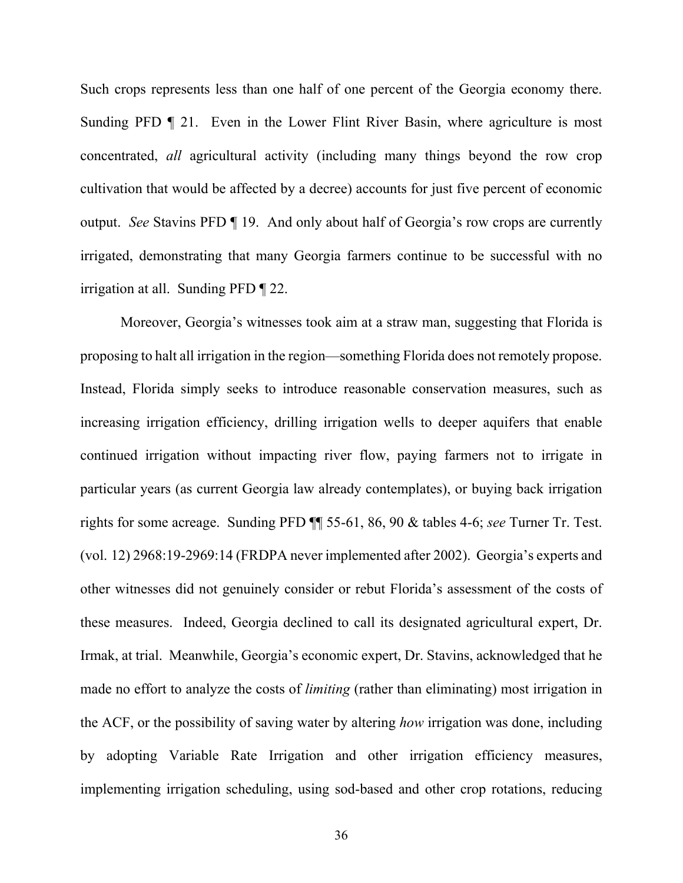Such crops represents less than one half of one percent of the Georgia economy there. Sunding PFD  $\parallel$  21. Even in the Lower Flint River Basin, where agriculture is most concentrated, *all* agricultural activity (including many things beyond the row crop cultivation that would be affected by a decree) accounts for just five percent of economic output. *See* Stavins PFD ¶ 19. And only about half of Georgia's row crops are currently irrigated, demonstrating that many Georgia farmers continue to be successful with no irrigation at all. Sunding PFD ¶ 22.

Moreover, Georgia's witnesses took aim at a straw man, suggesting that Florida is proposing to halt all irrigation in the region—something Florida does not remotely propose. Instead, Florida simply seeks to introduce reasonable conservation measures, such as increasing irrigation efficiency, drilling irrigation wells to deeper aquifers that enable continued irrigation without impacting river flow, paying farmers not to irrigate in particular years (as current Georgia law already contemplates), or buying back irrigation rights for some acreage. Sunding PFD ¶¶ 55-61, 86, 90 & tables 4-6; *see* Turner Tr. Test. (vol. 12) 2968:19-2969:14 (FRDPA never implemented after 2002). Georgia's experts and other witnesses did not genuinely consider or rebut Florida's assessment of the costs of these measures. Indeed, Georgia declined to call its designated agricultural expert, Dr. Irmak, at trial. Meanwhile, Georgia's economic expert, Dr. Stavins, acknowledged that he made no effort to analyze the costs of *limiting* (rather than eliminating) most irrigation in the ACF, or the possibility of saving water by altering *how* irrigation was done, including by adopting Variable Rate Irrigation and other irrigation efficiency measures, implementing irrigation scheduling, using sod-based and other crop rotations, reducing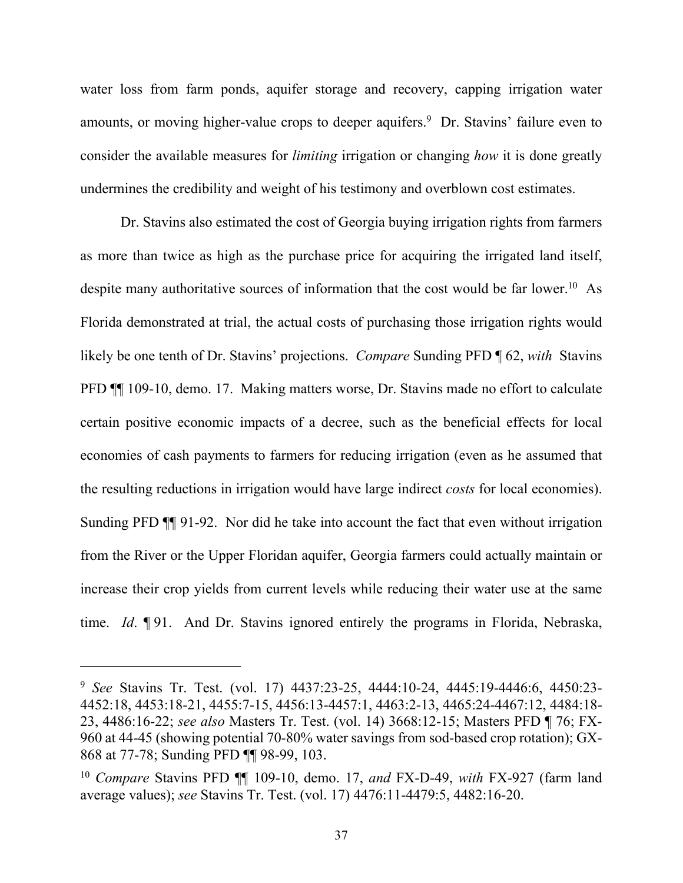water loss from farm ponds, aquifer storage and recovery, capping irrigation water amounts, or moving higher-value crops to deeper aquifers.<sup>9</sup> Dr. Stavins' failure even to consider the available measures for *limiting* irrigation or changing *how* it is done greatly undermines the credibility and weight of his testimony and overblown cost estimates.

Dr. Stavins also estimated the cost of Georgia buying irrigation rights from farmers as more than twice as high as the purchase price for acquiring the irrigated land itself, despite many authoritative sources of information that the cost would be far lower.<sup>10</sup> As Florida demonstrated at trial, the actual costs of purchasing those irrigation rights would likely be one tenth of Dr. Stavins' projections. *Compare* Sunding PFD ¶ 62, *with* Stavins PFD ¶¶ 109-10, demo. 17. Making matters worse, Dr. Stavins made no effort to calculate certain positive economic impacts of a decree, such as the beneficial effects for local economies of cash payments to farmers for reducing irrigation (even as he assumed that the resulting reductions in irrigation would have large indirect *costs* for local economies). Sunding PFD ¶¶ 91-92. Nor did he take into account the fact that even without irrigation from the River or the Upper Floridan aquifer, Georgia farmers could actually maintain or increase their crop yields from current levels while reducing their water use at the same time. *Id*. ¶ 91. And Dr. Stavins ignored entirely the programs in Florida, Nebraska,

<sup>9</sup> *See* Stavins Tr. Test. (vol. 17) 4437:23-25, 4444:10-24, 4445:19-4446:6, 4450:23- 4452:18, 4453:18-21, 4455:7-15, 4456:13-4457:1, 4463:2-13, 4465:24-4467:12, 4484:18- 23, 4486:16-22; *see also* Masters Tr. Test. (vol. 14) 3668:12-15; Masters PFD ¶ 76; FX-960 at 44-45 (showing potential 70-80% water savings from sod-based crop rotation); GX-868 at 77-78; Sunding PFD ¶¶ 98-99, 103.

<sup>10</sup> *Compare* Stavins PFD ¶¶ 109-10, demo. 17, *and* FX-D-49, *with* FX-927 (farm land average values); *see* Stavins Tr. Test. (vol. 17) 4476:11-4479:5, 4482:16-20.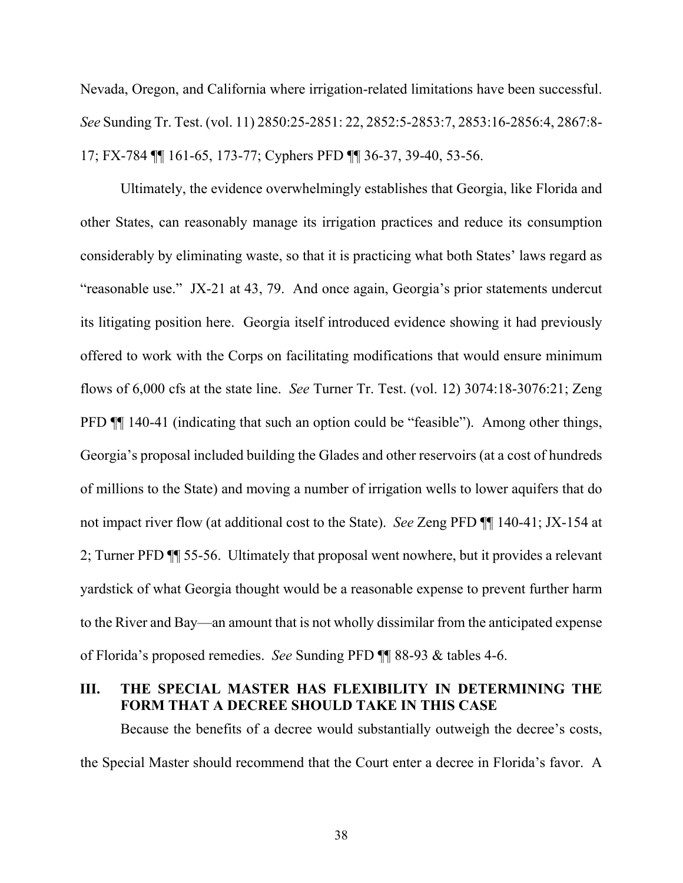Nevada, Oregon, and California where irrigation-related limitations have been successful. *See* Sunding Tr. Test. (vol. 11) 2850:25-2851: 22, 2852:5-2853:7, 2853:16-2856:4, 2867:8- 17; FX-784 ¶¶ 161-65, 173-77; Cyphers PFD ¶¶ 36-37, 39-40, 53-56.

Ultimately, the evidence overwhelmingly establishes that Georgia, like Florida and other States, can reasonably manage its irrigation practices and reduce its consumption considerably by eliminating waste, so that it is practicing what both States' laws regard as "reasonable use." JX-21 at 43, 79. And once again, Georgia's prior statements undercut its litigating position here. Georgia itself introduced evidence showing it had previously offered to work with the Corps on facilitating modifications that would ensure minimum flows of 6,000 cfs at the state line. *See* Turner Tr. Test. (vol. 12) 3074:18-3076:21; Zeng PFD  $\P$  140-41 (indicating that such an option could be "feasible"). Among other things, Georgia's proposal included building the Glades and other reservoirs (at a cost of hundreds of millions to the State) and moving a number of irrigation wells to lower aquifers that do not impact river flow (at additional cost to the State). *See* Zeng PFD ¶¶ 140-41; JX-154 at 2; Turner PFD ¶¶ 55-56. Ultimately that proposal went nowhere, but it provides a relevant yardstick of what Georgia thought would be a reasonable expense to prevent further harm to the River and Bay—an amount that is not wholly dissimilar from the anticipated expense of Florida's proposed remedies. *See* Sunding PFD ¶¶ 88-93 & tables 4-6.

## **III. THE SPECIAL MASTER HAS FLEXIBILITY IN DETERMINING THE FORM THAT A DECREE SHOULD TAKE IN THIS CASE**

Because the benefits of a decree would substantially outweigh the decree's costs, the Special Master should recommend that the Court enter a decree in Florida's favor. A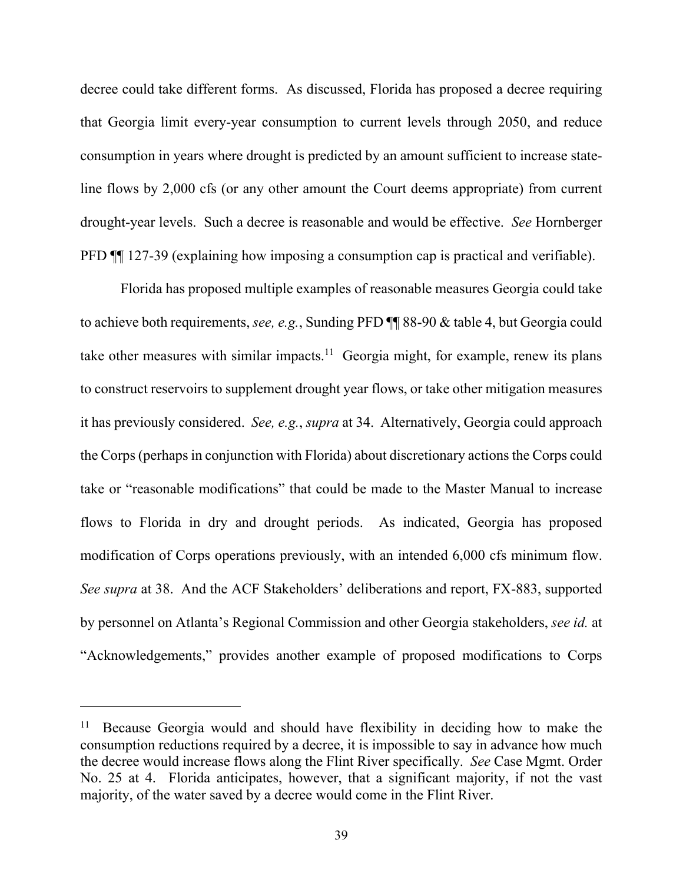decree could take different forms. As discussed, Florida has proposed a decree requiring that Georgia limit every-year consumption to current levels through 2050, and reduce consumption in years where drought is predicted by an amount sufficient to increase stateline flows by 2,000 cfs (or any other amount the Court deems appropriate) from current drought-year levels. Such a decree is reasonable and would be effective. *See* Hornberger PFD ¶¶ 127-39 (explaining how imposing a consumption cap is practical and verifiable).

Florida has proposed multiple examples of reasonable measures Georgia could take to achieve both requirements, *see, e.g.*, Sunding PFD ¶¶ 88-90 & table 4, but Georgia could take other measures with similar impacts.<sup>11</sup> Georgia might, for example, renew its plans to construct reservoirs to supplement drought year flows, or take other mitigation measures it has previously considered. *See, e.g.*, *supra* at 34. Alternatively, Georgia could approach the Corps (perhaps in conjunction with Florida) about discretionary actions the Corps could take or "reasonable modifications" that could be made to the Master Manual to increase flows to Florida in dry and drought periods. As indicated, Georgia has proposed modification of Corps operations previously, with an intended 6,000 cfs minimum flow. *See supra* at 38. And the ACF Stakeholders' deliberations and report, FX-883, supported by personnel on Atlanta's Regional Commission and other Georgia stakeholders, *see id.* at "Acknowledgements," provides another example of proposed modifications to Corps

<sup>&</sup>lt;sup>11</sup> Because Georgia would and should have flexibility in deciding how to make the consumption reductions required by a decree, it is impossible to say in advance how much the decree would increase flows along the Flint River specifically. *See* Case Mgmt. Order No. 25 at 4. Florida anticipates, however, that a significant majority, if not the vast majority, of the water saved by a decree would come in the Flint River.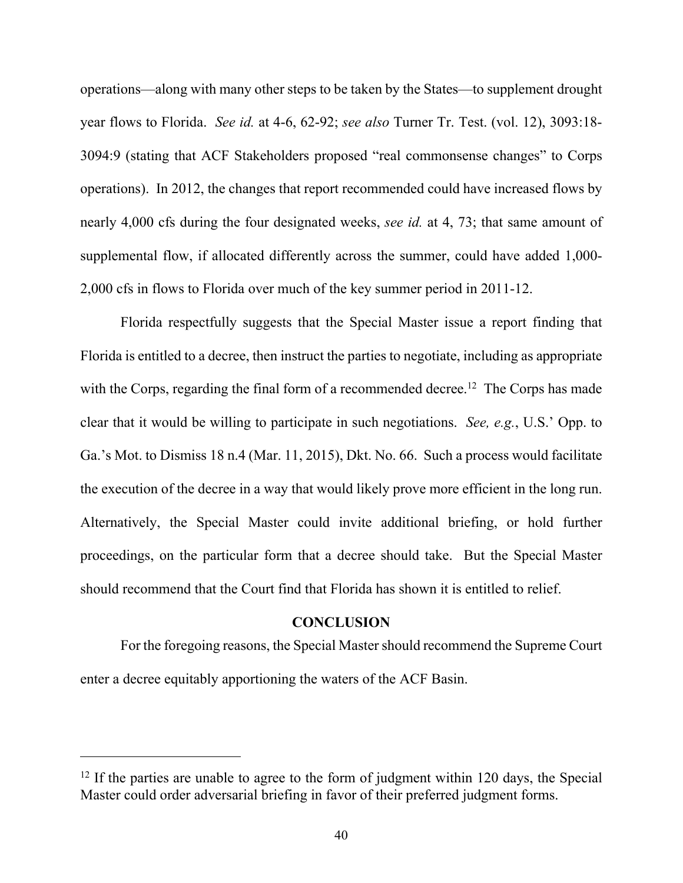operations—along with many other steps to be taken by the States—to supplement drought year flows to Florida. *See id.* at 4-6, 62-92; *see also* Turner Tr. Test. (vol. 12), 3093:18- 3094:9 (stating that ACF Stakeholders proposed "real commonsense changes" to Corps operations). In 2012, the changes that report recommended could have increased flows by nearly 4,000 cfs during the four designated weeks, *see id.* at 4, 73; that same amount of supplemental flow, if allocated differently across the summer, could have added 1,000- 2,000 cfs in flows to Florida over much of the key summer period in 2011-12.

Florida respectfully suggests that the Special Master issue a report finding that Florida is entitled to a decree, then instruct the parties to negotiate, including as appropriate with the Corps, regarding the final form of a recommended decree.<sup>12</sup> The Corps has made clear that it would be willing to participate in such negotiations. *See, e.g.*, U.S.' Opp. to Ga.'s Mot. to Dismiss 18 n.4 (Mar. 11, 2015), Dkt. No. 66. Such a process would facilitate the execution of the decree in a way that would likely prove more efficient in the long run. Alternatively, the Special Master could invite additional briefing, or hold further proceedings, on the particular form that a decree should take. But the Special Master should recommend that the Court find that Florida has shown it is entitled to relief.

#### **CONCLUSION**

For the foregoing reasons, the Special Master should recommend the Supreme Court enter a decree equitably apportioning the waters of the ACF Basin.

 $12$  If the parties are unable to agree to the form of judgment within 120 days, the Special Master could order adversarial briefing in favor of their preferred judgment forms.